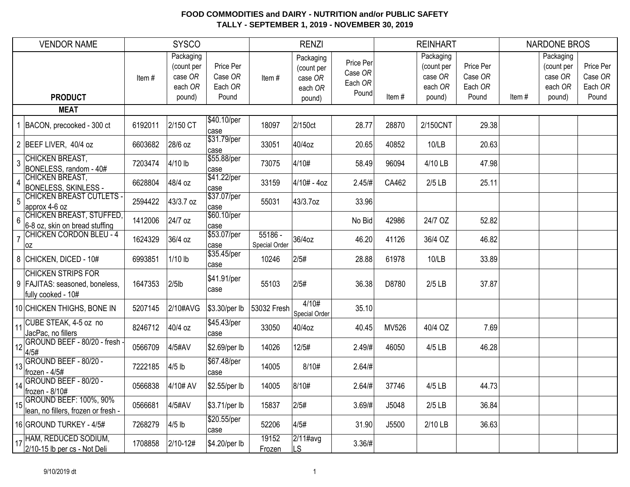|                | <b>VENDOR NAME</b>                                                                  |         | <b>SYSCO</b>                                            |                                          |                                 | <b>RENZI</b>                                            |                                          |       | <b>REINHART</b>                                         |                                          |       | <b>NARDONE BROS</b>                                     |                                          |
|----------------|-------------------------------------------------------------------------------------|---------|---------------------------------------------------------|------------------------------------------|---------------------------------|---------------------------------------------------------|------------------------------------------|-------|---------------------------------------------------------|------------------------------------------|-------|---------------------------------------------------------|------------------------------------------|
|                | <b>PRODUCT</b>                                                                      | Item#   | Packaging<br>(count per<br>case OR<br>each OR<br>pound) | Price Per<br>Case OR<br>Each OR<br>Pound | Item#                           | Packaging<br>(count per<br>case OR<br>each OR<br>pound) | Price Per<br>Case OR<br>Each OR<br>Pound | Item# | Packaging<br>(count per<br>case OR<br>each OR<br>pound) | Price Per<br>Case OR<br>Each OR<br>Pound | Item# | Packaging<br>(count per<br>case OR<br>each OR<br>pound) | Price Per<br>Case OR<br>Each OR<br>Pound |
|                | <b>MEAT</b>                                                                         |         |                                                         |                                          |                                 |                                                         |                                          |       |                                                         |                                          |       |                                                         |                                          |
|                | BACON, precooked - 300 ct                                                           | 6192011 | 2/150 CT                                                | \$40.10/per<br>case                      | 18097                           | 2/150ct                                                 | 28.77                                    | 28870 | 2/150CNT                                                | 29.38                                    |       |                                                         |                                          |
|                | 2 BEEF LIVER, 40/4 oz                                                               | 6603682 | 28/6 oz                                                 | \$31.79/per<br>case                      | 33051                           | 40/4oz                                                  | 20.65                                    | 40852 | 10/LB                                                   | 20.63                                    |       |                                                         |                                          |
| 3              | <b>CHICKEN BREAST,</b><br>BONELESS, random - 40#                                    | 7203474 | 4/10 lb                                                 | \$55.88/per<br>case                      | 73075                           | 4/10#                                                   | 58.49                                    | 96094 | 4/10 LB                                                 | 47.98                                    |       |                                                         |                                          |
| $\overline{4}$ | <b>CHICKEN BREAST,</b><br><b>BONELESS, SKINLESS -</b>                               | 6628804 | 48/4 oz                                                 | \$41.22/per<br>case                      | 33159                           | 4/10# - 4oz                                             | 2.45/H                                   | CA462 | $2/5$ LB                                                | 25.11                                    |       |                                                         |                                          |
| 5              | <b>CHICKEN BREAST CUTLETS -</b><br>approx 4-6 oz                                    | 2594422 | 43/3.7 oz                                               | \$37.07/per<br>case                      | 55031                           | 43/3.7oz                                                | 33.96                                    |       |                                                         |                                          |       |                                                         |                                          |
| 6              | CHICKEN BREAST, STUFFED,<br>6-8 oz, skin on bread stuffing                          | 1412006 | 24/7 oz                                                 | \$60.10/per<br>case                      |                                 |                                                         | No Bid                                   | 42986 | 24/7 OZ                                                 | 52.82                                    |       |                                                         |                                          |
| $\overline{7}$ | <b>CHICKEN CORDON BLEU - 4</b><br>0Z                                                | 1624329 | 36/4 oz                                                 | \$53.07/per<br>case                      | 55186 -<br><b>Special Order</b> | 36/4oz                                                  | 46.20                                    | 41126 | 36/4 OZ                                                 | 46.82                                    |       |                                                         |                                          |
|                | 8 CHICKEN, DICED - 10#                                                              | 6993851 | $1/10$ lb                                               | \$35.45/per<br>case                      | 10246                           | 2/5#                                                    | 28.88                                    | 61978 | 10/LB                                                   | 33.89                                    |       |                                                         |                                          |
|                | <b>CHICKEN STRIPS FOR</b><br>9   FAJITAS: seasoned, boneless,<br>fully cooked - 10# | 1647353 | $2/5$ lb                                                | \$41.91/per<br>case                      | 55103                           | 2/5#                                                    | 36.38                                    | D8780 | $2/5$ LB                                                | 37.87                                    |       |                                                         |                                          |
|                | 10 CHICKEN THIGHS, BONE IN                                                          | 5207145 | 2/10#AVG                                                | \$3.30/per lb                            | 53032 Fresh                     | 4/10#<br>Special Order                                  | 35.10                                    |       |                                                         |                                          |       |                                                         |                                          |
| 11             | CUBE STEAK, 4-5 oz no<br>JacPac, no fillers                                         | 8246712 | 40/4 oz                                                 | \$45.43/per<br>case                      | 33050                           | 40/4oz                                                  | 40.45                                    | MV526 | 40/4 OZ                                                 | 7.69                                     |       |                                                         |                                          |
| 12             | GROUND BEEF - 80/20 - fresh -<br>4/5#                                               | 0566709 | 4/5#AV                                                  | \$2.69/per lb                            | 14026                           | 12/5#                                                   | 2.49/H                                   | 46050 | 4/5 LB                                                  | 46.28                                    |       |                                                         |                                          |
| 13             | GROUND BEEF - 80/20 -<br>frozen - 4/5#                                              | 7222185 | $4/5$ lb                                                | \$67.48/per<br>case                      | 14005                           | 8/10#                                                   | $2.64/\#$                                |       |                                                         |                                          |       |                                                         |                                          |
| 14             | GROUND BEEF - 80/20 -<br>frozen - 8/10#                                             | 0566838 | 4/10# AV                                                | \$2.55/per lb                            | 14005                           | 8/10#                                                   | 2.64/H                                   | 37746 | 4/5 LB                                                  | 44.73                                    |       |                                                         |                                          |
| 15             | <b>GROUND BEEF: 100%, 90%</b><br>lean, no fillers, frozen or fresh -                | 0566681 | 4/5#AV                                                  | \$3.71/per lb                            | 15837                           | 2/5#                                                    | 3.69/#                                   | J5048 | $2/5$ LB                                                | 36.84                                    |       |                                                         |                                          |
|                | 16 GROUND TURKEY - 4/5#                                                             | 7268279 | $4/5$ lb                                                | \$20.55/per<br>case                      | 52206                           | 4/5#                                                    | 31.90                                    | J5500 | 2/10 LB                                                 | 36.63                                    |       |                                                         |                                          |
| 17             | HAM, REDUCED SODIUM,<br>2/10-15 lb per cs - Not Deli                                | 1708858 | 2/10-12#                                                | \$4.20/per lb                            | 19152<br>Frozen                 | $2/11$ #avg<br>LS.                                      | 3.36/H                                   |       |                                                         |                                          |       |                                                         |                                          |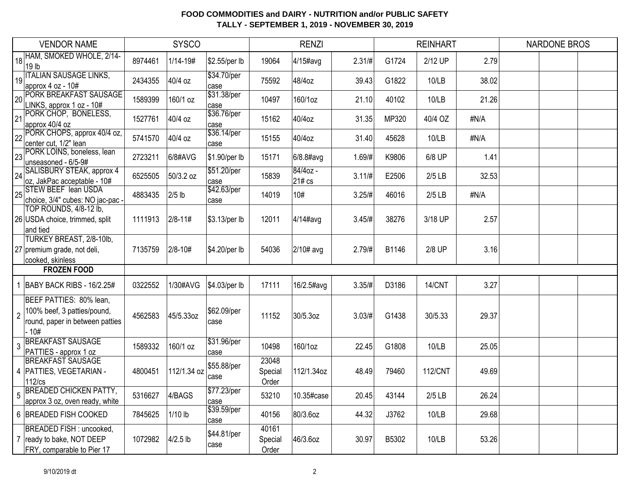|                | <b>VENDOR NAME</b>                                                                                |         | <b>SYSCO</b> |                     |                           | <b>RENZI</b>       |           |       | <b>REINHART</b> |       | <b>NARDONE BROS</b> |  |
|----------------|---------------------------------------------------------------------------------------------------|---------|--------------|---------------------|---------------------------|--------------------|-----------|-------|-----------------|-------|---------------------|--|
| 18             | HAM, SMOKED WHOLE, 2/14-<br>19 <sub>lb</sub>                                                      | 8974461 | $1/14 - 19#$ | \$2.55/per lb       | 19064                     | $4/15$ #avg        | $2.31/\#$ | G1724 | 2/12 UP         | 2.79  |                     |  |
| 19             | <b>ITALIAN SAUSAGE LINKS,</b><br>approx 4 oz - 10#                                                | 2434355 | 40/4 oz      | \$34.70/per<br>case | 75592                     | 48/4oz             | 39.43     | G1822 | 10/LB           | 38.02 |                     |  |
| 20             | <b>PORK BREAKFAST SAUSAGE</b><br>LINKS, approx 1 oz - 10#                                         | 1589399 | 160/1 oz     | \$31.38/per<br>case | 10497                     | 160/1oz            | 21.10     | 40102 | 10/LB           | 21.26 |                     |  |
| 21             | PORK CHOP, BONELESS,<br>approx 40/4 oz                                                            | 1527761 | 40/4 oz      | \$36.76/per<br>case | 15162                     | 40/4oz             | 31.35     | MP320 | 40/4 OZ         | #N/A  |                     |  |
| 22             | PORK CHOPS, approx 40/4 oz,<br>center cut, 1/2" lean                                              | 5741570 | 40/4 oz      | \$36.14/per<br>case | 15155                     | 40/4oz             | 31.40     | 45628 | 10/LB           | #N/A  |                     |  |
| 23             | PORK LOINS, boneless, lean<br>unseasoned - 6/5-9#                                                 | 2723211 | 6/8#AVG      | \$1.90/per lb       | 15171                     | $6/8.8$ #avg       | 1.69/#    | K9806 | 6/8 UP          | 1.41  |                     |  |
| 24             | SALISBURY STEAK, approx 4<br>oz, JakPac acceptable - 10#                                          | 6525505 | 50/3.2 oz    | \$51.20/per<br>case | 15839                     | 84/4oz -<br>21# cs | 3.11/#    | E2506 | $2/5$ LB        | 32.53 |                     |  |
| 25             | <b>STEW BEEF lean USDA</b><br>choice, 3/4" cubes: NO jac-pac -                                    | 4883435 | $2/5$ lb     | \$42.63/per<br>case | 14019                     | 10#                | 3.25/#    | 46016 | $2/5$ LB        | #N/A  |                     |  |
|                | TOP ROUNDS, 4/8-12 lb,<br>26 USDA choice, trimmed, split<br>land tied                             | 1111913 | $2/8 - 11#$  | \$3.13/per lb       | 12011                     | 4/14#avg           | 3.45/#    | 38276 | 3/18 UP         | 2.57  |                     |  |
|                | TURKEY BREAST, 2/8-10lb,<br>27 premium grade, not deli,<br>cooked, skinless                       | 7135759 | $2/8 - 10#$  | \$4.20/per lb       | 54036                     | 2/10# avg          | 2.79/#    | B1146 | 2/8 UP          | 3.16  |                     |  |
|                | <b>FROZEN FOOD</b>                                                                                |         |              |                     |                           |                    |           |       |                 |       |                     |  |
| 1              | BABY BACK RIBS - 16/2.25#                                                                         | 0322552 | 1/30#AVG     | \$4.03/per lb       | 17111                     | 16/2.5#avg         | 3.35/H    | D3186 | 14/CNT          | 3.27  |                     |  |
| $\overline{2}$ | BEEF PATTIES: 80% lean,<br>100% beef, 3 patties/pound,<br>round, paper in between patties<br>.10# | 4562583 | 45/5.33oz    | \$62.09/per<br>case | 11152                     | 30/5.3oz           | $3.03/\#$ | G1438 | 30/5.33         | 29.37 |                     |  |
| 3              | <b>BREAKFAST SAUSAGE</b><br>PATTIES - approx 1 oz                                                 | 1589332 | 160/1 oz     | \$31.96/per<br>case | 10498                     | 160/1oz            | 22.45     | G1808 | 10/LB           | 25.05 |                     |  |
|                | <b>BREAKFAST SAUSAGE</b><br>4   PATTIES, VEGETARIAN -<br>$112$ / $cs$                             | 4800451 | 112/1.34 oz  | \$55.88/per<br>case | 23048<br>Special<br>Order | 112/1.34oz         | 48.49     | 79460 | <b>112/CNT</b>  | 49.69 |                     |  |
| C.             | <b>BREADED CHICKEN PATTY,</b><br>approx 3 oz, oven ready, white                                   | 5316627 | 4/BAGS       | \$77.23/per<br>case | 53210                     | 10.35#case         | 20.45     | 43144 | $2/5$ LB        | 26.24 |                     |  |
|                | 6 BREADED FISH COOKED                                                                             | 7845625 | $1/10$ lb    | \$39.59/per<br>case | 40156                     | 80/3.6oz           | 44.32     | J3762 | 10/LB           | 29.68 |                     |  |
|                | BREADED FISH : uncooked,<br>7 ready to bake, NOT DEEP<br>FRY, comparable to Pier 17               | 1072982 | $4/2.5$ lb   | \$44.81/per<br>case | 40161<br>Special<br>Order | 46/3.6oz           | 30.97     | B5302 | 10/LB           | 53.26 |                     |  |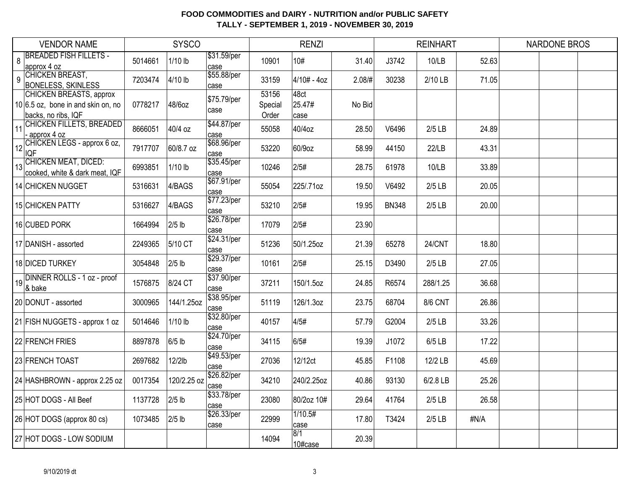|    | <b>VENDOR NAME</b>                                                                            |         | <b>SYSCO</b> |                      |                           | <b>RENZI</b>           |        |              | <b>REINHART</b> |       | <b>NARDONE BROS</b> |  |
|----|-----------------------------------------------------------------------------------------------|---------|--------------|----------------------|---------------------------|------------------------|--------|--------------|-----------------|-------|---------------------|--|
| 8  | <b>BREADED FISH FILLETS -</b><br>approx 4 oz                                                  | 5014661 | $1/10$ lb    | \$31.59/per<br>case  | 10901                     | 10#                    | 31.40  | J3742        | 10/LB           | 52.63 |                     |  |
| 9  | <b>CHICKEN BREAST,</b><br><b>BONELESS, SKINLESS</b>                                           | 7203474 | 4/10 lb      | \$55.88/per<br>case  | 33159                     | $4/10# - 4oz$          | 2.08/# | 30238        | 2/10 LB         | 71.05 |                     |  |
|    | <b>CHICKEN BREASTS, approx</b><br>$10 6.5$ oz, bone in and skin on, no<br>backs, no ribs, IQF | 0778217 | 48/6oz       | \$75.79/per<br>case  | 53156<br>Special<br>Order | 48ct<br>25.47#<br>case | No Bid |              |                 |       |                     |  |
| 11 | CHICKEN FILLETS, BREADED<br>approx 4 oz                                                       | 8666051 | 40/4 oz      | \$44.87/per<br>case  | 55058                     | 40/4oz                 | 28.50  | V6496        | $2/5$ LB        | 24.89 |                     |  |
| 12 | CHICKEN LEGS - approx 6 oz,<br><b>IQF</b>                                                     | 7917707 | 60/8.7 oz    | \$68.96/per<br>case  | 53220                     | 60/9oz                 | 58.99  | 44150        | 22/LB           | 43.31 |                     |  |
| 13 | <b>CHICKEN MEAT, DICED:</b><br>cooked, white & dark meat, IQF                                 | 6993851 | $1/10$ lb    | \$35.45/per<br>case  | 10246                     | 2/5#                   | 28.75  | 61978        | 10/LB           | 33.89 |                     |  |
|    | 14 CHICKEN NUGGET                                                                             | 5316631 | 4/BAGS       | \$67.91/per<br>case  | 55054                     | 225/.71oz              | 19.50  | V6492        | $2/5$ LB        | 20.05 |                     |  |
|    | 15 CHICKEN PATTY                                                                              | 5316627 | 4/BAGS       | \$77.23/per<br>case  | 53210                     | 2/5#                   | 19.95  | <b>BN348</b> | $2/5$ LB        | 20.00 |                     |  |
|    | 16 CUBED PORK                                                                                 | 1664994 | $2/5$ lb     | \$26.78/per<br>case  | 17079                     | 2/5#                   | 23.90  |              |                 |       |                     |  |
|    | 17 DANISH - assorted                                                                          | 2249365 | 5/10 CT      | \$24.31/per<br>case  | 51236                     | 50/1.25oz              | 21.39  | 65278        | 24/CNT          | 18.80 |                     |  |
|    | 18 DICED TURKEY                                                                               | 3054848 | $2/5$ lb     | \$29.37/per<br>lcase | 10161                     | 2/5#                   | 25.15  | D3490        | $2/5$ LB        | 27.05 |                     |  |
| 19 | DINNER ROLLS - 1 oz - proof<br>& bake                                                         | 1576875 | 8/24 CT      | \$37.90/per<br>case  | 37211                     | 150/1.5oz              | 24.85  | R6574        | 288/1.25        | 36.68 |                     |  |
|    | 20 DONUT - assorted                                                                           | 3000965 | 144/1.25oz   | \$38.95/per<br>case  | 51119                     | 126/1.3oz              | 23.75  | 68704        | <b>8/6 CNT</b>  | 26.86 |                     |  |
|    | 21 FISH NUGGETS - approx 1 oz                                                                 | 5014646 | $1/10$ lb    | \$32.80/per<br>case  | 40157                     | 4/5#                   | 57.79  | G2004        | $2/5$ LB        | 33.26 |                     |  |
|    | 22 FRENCH FRIES                                                                               | 8897878 | 6/5 lb       | \$24.70/per<br>case  | 34115                     | 6/5#                   | 19.39  | J1072        | 6/5 LB          | 17.22 |                     |  |
|    | 23 FRENCH TOAST                                                                               | 2697682 | 12/2lb       | \$49.53/per<br>case  | 27036                     | 12/12ct                | 45.85  | F1108        | 12/2 LB         | 45.69 |                     |  |
|    | 24 HASHBROWN - approx 2.25 oz                                                                 | 0017354 | 120/2.25 oz  | \$26.82/per<br>case  | 34210                     | 240/2.25oz             | 40.86  | 93130        | 6/2.8 LB        | 25.26 |                     |  |
|    | 25 HOT DOGS - All Beef                                                                        | 1137728 | $2/5$ lb     | \$33.78/per<br>case  | 23080                     | 80/2oz 10#             | 29.64  | 41764        | $2/5$ LB        | 26.58 |                     |  |
|    | 26 HOT DOGS (approx 80 cs)                                                                    | 1073485 | $2/5$ lb     | \$26.33/per<br>case  | 22999                     | 1/10.5#<br>case        | 17.80  | T3424        | $2/5$ LB        | #N/A  |                     |  |
|    | 27 HOT DOGS - LOW SODIUM                                                                      |         |              |                      | 14094                     | 8/1<br>10#case         | 20.39  |              |                 |       |                     |  |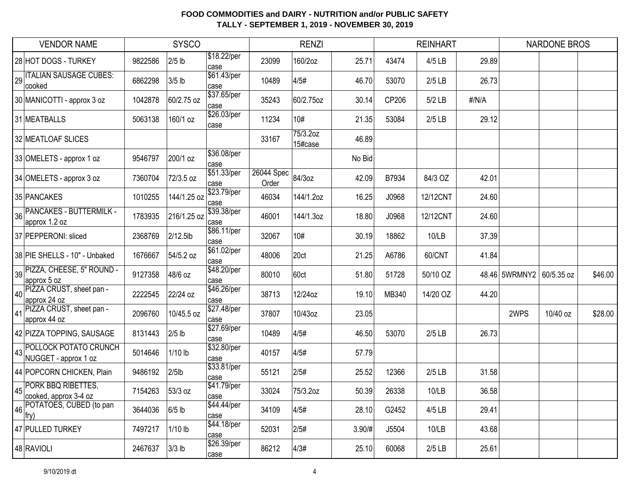|    | <b>VENDOR NAME</b>                                   |         | <b>SYSCO</b> |                     |                     | <b>RENZI</b>        |        |       | <b>REINHART</b> |       |                          | <b>NARDONE BROS</b> |         |
|----|------------------------------------------------------|---------|--------------|---------------------|---------------------|---------------------|--------|-------|-----------------|-------|--------------------------|---------------------|---------|
|    | 28 HOT DOGS - TURKEY                                 | 9822586 | $2/5$ lb     | \$18.22/per<br>case | 23099               | 160/2oz             | 25.71  | 43474 | 4/5 LB          | 29.89 |                          |                     |         |
| 29 | <b>ITALIAN SAUSAGE CUBES:</b><br>cooked              | 6862298 | $3/5$ lb     | \$61.43/per<br>case | 10489               | 4/5#                | 46.70  | 53070 | $2/5$ LB        | 26.73 |                          |                     |         |
|    | 30 MANICOTTI - approx 3 oz                           | 1042878 | 60/2.75 oz   | \$37.65/per<br>case | 35243               | 60/2.75oz           | 30.14  | CP206 | 5/2 LB          | #/N/A |                          |                     |         |
|    | 31 MEATBALLS                                         | 5063138 | 160/1 oz     | \$26.03/per<br>case | 11234               | 10#                 | 21.35  | 53084 | $2/5$ LB        | 29.12 |                          |                     |         |
|    | 32 MEATLOAF SLICES                                   |         |              |                     | 33167               | 75/3.20z<br>15#case | 46.89  |       |                 |       |                          |                     |         |
|    | 33 OMELETS - approx 1 oz                             | 9546797 | 200/1 oz     | \$36.08/per<br>case |                     |                     | No Bid |       |                 |       |                          |                     |         |
|    | 34 OMELETS - approx 3 oz                             | 7360704 | 72/3.5 oz    | \$51.33/per<br>case | 26044 Spec<br>Order | 84/3oz              | 42.09  | B7934 | 84/3 OZ         | 42.01 |                          |                     |         |
|    | 35 PANCAKES                                          | 1010255 | 144/1.25 oz  | \$23.79/per<br>case | 46034               | 144/1.2oz           | 16.25  | J0968 | 12/12CNT        | 24.60 |                          |                     |         |
| 36 | <b>PANCAKES - BUTTERMILK -</b><br>approx 1.2 oz      | 1783935 | 216/1.25 oz  | \$39.38/per<br>case | 46001               | 144/1.3oz           | 18.80  | J0968 | 12/12CNT        | 24.60 |                          |                     |         |
|    | 37 PEPPERONI: sliced                                 | 2368769 | 2/12.5lb     | \$86.11/per<br>case | 32067               | 10#                 | 30.19  | 18862 | 10/LB           | 37.39 |                          |                     |         |
|    | 38 PIE SHELLS - 10" - Unbaked                        | 1676667 | 54/5.2 oz    | \$61.02/per<br>case | 48006               | 20ct                | 21.25  | A6786 | 60/CNT          | 41.84 |                          |                     |         |
|    | 39 PIZZA, CHEESE, 5" ROUND -<br>approx 5 oz          | 9127358 | 48/6 oz      | \$48.20/per<br>case | 80010               | 60ct                | 51.80  | 51728 | 50/10 OZ        |       | 48.46 5WRMNY2 60/5.35 oz |                     | \$46.00 |
| 40 | PIZZA CRUST, sheet pan -<br>approx 24 oz             | 2222545 | 22/24 oz     | \$46.26/per<br>case | 38713               | 12/24oz             | 19.10  | MB340 | 14/20 OZ        | 44.20 |                          |                     |         |
|    | 41 PIZZA CRUST, sheet pan -<br>approx 44 oz          | 2096760 | 10/45.5 oz   | \$27.48/per<br>case | 37807               | 10/43oz             | 23.05  |       |                 |       | 2WPS                     | 10/40 oz            | \$28.00 |
|    | 42 PIZZA TOPPING, SAUSAGE                            | 8131443 | $2/5$ lb     | \$27.69/per<br>case | 10489               | 4/5#                | 46.50  | 53070 | $2/5$ LB        | 26.73 |                          |                     |         |
| 43 | <b>POLLOCK POTATO CRUNCH</b><br>NUGGET - approx 1 oz | 5014646 | $1/10$ lb    | \$32.80/per<br>case | 40157               | 4/5#                | 57.79  |       |                 |       |                          |                     |         |
|    | 44 POPCORN CHICKEN, Plain                            | 9486192 | $2/5$ lb     | \$33.81/per<br>case | 55121               | 2/5#                | 25.52  | 12366 | $2/5$ LB        | 31.58 |                          |                     |         |
|    | 45 PORK BBQ RIBETTES,<br>cooked, approx 3-4 oz       | 7154263 | 53/3 oz      | \$41.79/per<br>case | 33024               | 75/3.2oz            | 50.39  | 26338 | 10/LB           | 36.58 |                          |                     |         |
| 46 | POTATOES, CUBED (to pan<br>fry)                      | 3644036 | $6/5$ lb     | \$44.44/per<br>case | 34109               | 4/5#                | 28.10  | G2452 | 4/5 LB          | 29.41 |                          |                     |         |
|    | 47 PULLED TURKEY                                     | 7497217 | $1/10$ lb    | \$44.18/per<br>case | 52031               | 2/5#                | 3.90/# | J5504 | 10/LB           | 43.68 |                          |                     |         |
|    | 48 RAVIOLI                                           | 2467637 | $3/3$ lb     | \$26.39/per<br>case | 86212               | 4/3#                | 25.10  | 60068 | $2/5$ LB        | 25.61 |                          |                     |         |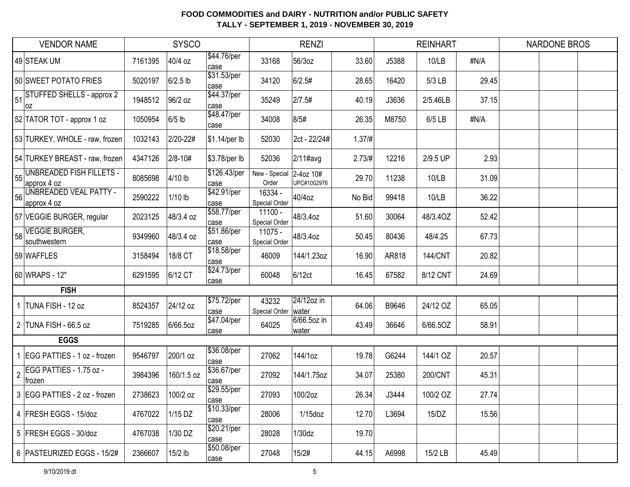|              | <b>VENDOR NAME</b>                             |         | <b>SYSCO</b> |                      |                          | <b>RENZI</b>             |          |       | <b>REINHART</b> |       | <b>NARDONE BROS</b> |  |
|--------------|------------------------------------------------|---------|--------------|----------------------|--------------------------|--------------------------|----------|-------|-----------------|-------|---------------------|--|
|              | 49 STEAK UM                                    | 7161395 | 40/4 oz      | \$44.76/per<br>case  | 33168                    | 56/3oz                   | 33.60    | J5388 | 10/LB           | #N/A  |                     |  |
|              | 50 SWEET POTATO FRIES                          | 5020197 | $6/2.5$ lb   | \$31.53/per<br>case  | 34120                    | 6/2.5#                   | 28.65    | 16420 | 5/3 LB          | 29.45 |                     |  |
| 51           | STUFFED SHELLS - approx 2<br>loz               | 1948512 | 96/2 oz      | \$44.37/per<br>case  | 35249                    | 2/7.5#                   | 40.19    | J3636 | 2/5.46LB        | 37.15 |                     |  |
|              | 52 TATOR TOT - approx 1 oz                     | 1050954 | $6/5$ lb     | \$48.47/per<br>case  | 34008                    | 8/5#                     | 26.35    | M8750 | 6/5 LB          | #N/A  |                     |  |
|              | 53 TURKEY, WHOLE - raw, frozen                 | 1032143 | 2/20-22#     | \$1.14/per lb        | 52030                    | 2ct - 22/24#             | 1.37 / # |       |                 |       |                     |  |
|              | 54 TURKEY BREAST - raw, frozen                 | 4347126 | 2/8-10#      | \$3.78/per lb        | 52036                    | 2/11#avg                 | 2.73/H   | 12216 | 2/9.5 UP        | 2.93  |                     |  |
| 55           | <b>UNBREADED FISH FILLETS -</b><br>approx 4 oz | 8085698 | 4/10 lb      | \$126.43/per<br>case | New - Special<br>Order   | 2-4oz 10#<br>UPC#1002976 | 29.70    | 11238 | 10/LB           | 31.09 |                     |  |
| 56           | UNBREADED VEAL PATTY -<br>approx 4 oz          | 2590222 | $1/10$ lb    | \$42.91/per<br>case  | 16334 -<br>Special Order | 40/4oz                   | No Bid   | 99418 | 10/LB           | 36.22 |                     |  |
|              | 57 VEGGIE BURGER, regular                      | 2023125 | 48/3.4 oz    | \$58.77/per<br>case  | 11100 -<br>Special Order | 48/3.4oz                 | 51.60    | 30064 | 48/3.4OZ        | 52.42 |                     |  |
| 58           | <b>VEGGIE BURGER,</b><br>southwestern          | 9349960 | 48/3.4 oz    | \$51.86/per<br>case  | 11075 -<br>Special Order | 48/3.4oz                 | 50.45    | 80436 | 48/4.25         | 67.73 |                     |  |
|              | 59 WAFFLES                                     | 3158494 | 18/8 CT      | \$18.58/per<br>case  | 46009                    | 144/1.23oz               | 16.90    | AR818 | <b>144/CNT</b>  | 20.82 |                     |  |
|              | 60 WRAPS - 12"                                 | 6291595 | 6/12 CT      | \$24.73/per<br>case  | 60048                    | 6/12ct                   | 16.45    | 67582 | 8/12 CNT        | 24.69 |                     |  |
|              | <b>FISH</b>                                    |         |              |                      |                          |                          |          |       |                 |       |                     |  |
| $\mathbf{1}$ | TUNA FISH - 12 oz                              | 8524357 | 24/12 oz     | \$75.72/per<br>case  | 43232<br>Special Order   | 24/12oz in<br>water      | 64.06    | B9646 | 24/12 OZ        | 65.05 |                     |  |
|              | 2 TUNA FISH - 66.5 oz                          | 7519285 | 6/66.5oz     | \$47.04/per<br>case  | 64025                    | 6/66.5oz in<br>water     | 43.49    | 36646 | 6/66.5OZ        | 58.91 |                     |  |
|              | <b>EGGS</b>                                    |         |              |                      |                          |                          |          |       |                 |       |                     |  |
|              | 1 EGG PATTIES - 1 oz - frozen                  | 9546797 | 200/1 oz     | \$36.08/per<br>case  | 27062                    | 144/1oz                  | 19.78    | G6244 | 144/1 OZ        | 20.57 |                     |  |
| $\sqrt{2}$   | EGG PATTIES - 1.75 oz -<br>frozen              | 3984396 | 160/1.5 oz   | \$36.67/per<br>case  | 27092                    | 144/1.75oz               | 34.07    | 25380 | 200/CNT         | 45.31 |                     |  |
|              | 3 EGG PATTIES - 2 oz - frozen                  | 2738623 | 100/2 oz     | \$29.55/per<br>case  | 27093                    | 100/2oz                  | 26.34    | J3444 | 100/2 OZ        | 27.74 |                     |  |
|              | 4   FRESH EGGS - 15/doz                        | 4767022 | 1/15 DZ      | \$10.33/per<br>case  | 28006                    | $1/15$ doz               | 12.70    | L3694 | 15/DZ           | 15.56 |                     |  |
|              | 5 FRESH EGGS - 30/doz                          | 4767038 | 1/30 DZ      | \$20.21/per<br>case  | 28028                    | 1/30dz                   | 19.70    |       |                 |       |                     |  |
|              | 6 PASTEURIZED EGGS - 15/2#                     | 2366607 | $15/2$ lb    | \$50.08/per<br>case  | 27048                    | 15/2#                    | 44.15    | A6998 | 15/2 LB         | 45.49 |                     |  |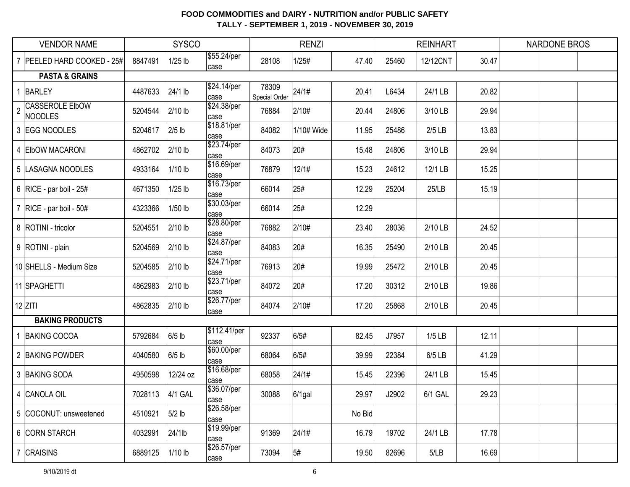|                | <b>VENDOR NAME</b>                |         | <b>SYSCO</b> |                      |                        | <b>RENZI</b> |        |       | <b>REINHART</b> |       | <b>NARDONE BROS</b> |
|----------------|-----------------------------------|---------|--------------|----------------------|------------------------|--------------|--------|-------|-----------------|-------|---------------------|
|                | PEELED HARD COOKED - 25#          | 8847491 | $1/25$ lb    | \$55.24/per<br>case  | 28108                  | 1/25#        | 47.40  | 25460 | 12/12CNT        | 30.47 |                     |
|                | <b>PASTA &amp; GRAINS</b>         |         |              |                      |                        |              |        |       |                 |       |                     |
|                | BARLEY                            | 4487633 | 24/1 lb      | \$24.14/per<br>case  | 78309<br>Special Order | 24/1#        | 20.41  | L6434 | 24/1 LB         | 20.82 |                     |
| $\overline{2}$ | <b>CASSEROLE EIbOW</b><br>NOODLES | 5204544 | 2/10 lb      | \$24.38/per<br>case  | 76884                  | 2/10#        | 20.44  | 24806 | 3/10 LB         | 29.94 |                     |
|                | 3 EGG NOODLES                     | 5204617 | $2/5$ lb     | \$18.81/per<br>case  | 84082                  | 1/10# Wide   | 11.95  | 25486 | $2/5$ LB        | 13.83 |                     |
|                | 4 ElbOW MACARONI                  | 4862702 | 2/10 lb      | \$23.74/per<br>case  | 84073                  | 20#          | 15.48  | 24806 | 3/10 LB         | 29.94 |                     |
|                | 5  LASAGNA NOODLES                | 4933164 | $1/10$ lb    | \$16.69/per<br>case  | 76879                  | 12/1#        | 15.23  | 24612 | 12/1 LB         | 15.25 |                     |
|                | 6   RICE - par boil - $25#$       | 4671350 | $1/25$ lb    | \$16.73/per<br>case  | 66014                  | 25#          | 12.29  | 25204 | 25/LB           | 15.19 |                     |
|                | 7   RICE - par boil - $50#$       | 4323366 | $1/50$ lb    | \$30.03/per<br>case  | 66014                  | 25#          | 12.29  |       |                 |       |                     |
|                | 8   ROTINI - tricolor             | 5204551 | 2/10 lb      | \$28.80/per<br>case  | 76882                  | 2/10#        | 23.40  | 28036 | 2/10 LB         | 24.52 |                     |
|                | 9   ROTINI - plain                | 5204569 | 2/10 lb      | \$24.87/per<br>case  | 84083                  | 20#          | 16.35  | 25490 | 2/10 LB         | 20.45 |                     |
|                | 10 SHELLS - Medium Size           | 5204585 | 2/10 lb      | \$24.71/per<br>case  | 76913                  | 20#          | 19.99  | 25472 | 2/10 LB         | 20.45 |                     |
|                | 11 SPAGHETTI                      | 4862983 | 2/10 lb      | \$23.71/per<br>case  | 84072                  | 20#          | 17.20  | 30312 | 2/10 LB         | 19.86 |                     |
|                | $12$ ZITI                         | 4862835 | 2/10 lb      | \$26.77/per<br>case  | 84074                  | 2/10#        | 17.20  | 25868 | 2/10 LB         | 20.45 |                     |
|                | <b>BAKING PRODUCTS</b>            |         |              |                      |                        |              |        |       |                 |       |                     |
|                | <b>BAKING COCOA</b>               | 5792684 | $6/5$ lb     | \$112.41/per<br>case | 92337                  | 6/5#         | 82.45  | J7957 | $1/5$ LB        | 12.11 |                     |
|                | 2 BAKING POWDER                   | 4040580 | $6/5$ lb     | \$60.00/per<br>case  | 68064                  | 6/5#         | 39.99  | 22384 | 6/5 LB          | 41.29 |                     |
|                | 3 BAKING SODA                     | 4950598 | 12/24 oz     | \$16.68/per<br>case  | 68058                  | 24/1#        | 15.45  | 22396 | 24/1 LB         | 15.45 |                     |
|                | 4 CANOLA OIL                      | 7028113 | 4/1 GAL      | \$36.07/per<br>lcase | 30088                  | $6/1$ gal    | 29.97  | J2902 | 6/1 GAL         | 29.23 |                     |
|                | 5 COCONUT: unsweetened            | 4510921 | $5/2$ lb     | \$26.58/per<br>case  |                        |              | No Bid |       |                 |       |                     |
|                | 6 CORN STARCH                     | 4032991 | 24/1lb       | \$19.99/per<br>case  | 91369                  | 24/1#        | 16.79  | 19702 | 24/1 LB         | 17.78 |                     |
|                | 7 CRAISINS                        | 6889125 | $1/10$ lb    | \$26.57/per<br>case  | 73094                  | 5#           | 19.50  | 82696 | 5/LB            | 16.69 |                     |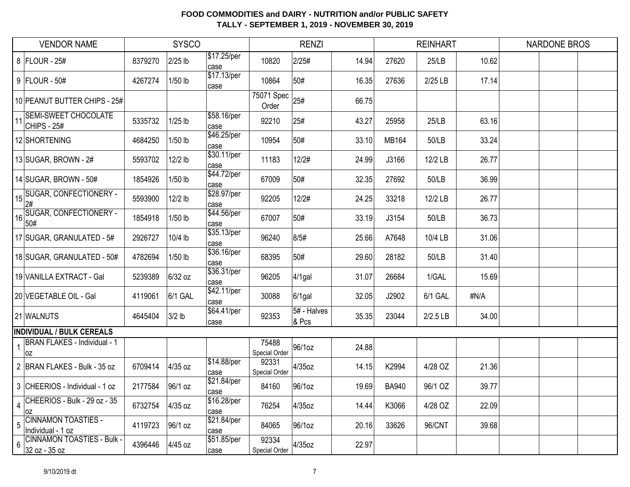|                                | <b>VENDOR NAME</b>                                 |         | <b>SYSCO</b> |                     |                        | <b>RENZI</b>         |       |              | <b>REINHART</b> |       | <b>NARDONE BROS</b> |  |
|--------------------------------|----------------------------------------------------|---------|--------------|---------------------|------------------------|----------------------|-------|--------------|-----------------|-------|---------------------|--|
|                                | 8 FLOUR - 25#                                      | 8379270 | $2/25$ lb    | \$17.25/per<br>case | 10820                  | 2/25#                | 14.94 | 27620        | 25/LB           | 10.62 |                     |  |
|                                | 9 FLOUR - 50#                                      | 4267274 | 1/50 lb      | \$17.13/per<br>case | 10864                  | 50#                  | 16.35 | 27636        | 2/25 LB         | 17.14 |                     |  |
|                                | 10 PEANUT BUTTER CHIPS - 25#                       |         |              |                     | 75071 Spec<br>Order    | 25#                  | 66.75 |              |                 |       |                     |  |
| $11$ <sup><math>'</math></sup> | <b>SEMI-SWEET CHOCOLATE</b><br>CHIPS - $25#$       | 5335732 | $1/25$ lb    | \$58.16/per<br>case | 92210                  | 25#                  | 43.27 | 25958        | 25/LB           | 63.16 |                     |  |
|                                | 12 SHORTENING                                      | 4684250 | 1/50 lb      | \$46.25/per<br>case | 10954                  | 50#                  | 33.10 | MB164        | 50/LB           | 33.24 |                     |  |
|                                | 13 SUGAR, BROWN - $2#$                             | 5593702 | 12/2 lb      | \$30.11/per<br>case | 11183                  | 12/2#                | 24.99 | J3166        | 12/2 LB         | 26.77 |                     |  |
|                                | 14 SUGAR, BROWN - 50#                              | 1854926 | $1/50$ lb    | \$44.72/per<br>case | 67009                  | 50#                  | 32.35 | 27692        | 50/LB           | 36.99 |                     |  |
|                                | <b>SUGAR, CONFECTIONERY -</b><br>$15\frac{2\#}{4}$ | 5593900 | 12/2 lb      | \$28.97/per<br>case | 92205                  | 12/2#                | 24.25 | 33218        | 12/2 LB         | 26.77 |                     |  |
| 16                             | SUGAR, CONFECTIONERY -<br>50#                      | 1854918 | $1/50$ lb    | \$44.56/per<br>case | 67007                  | 50#                  | 33.19 | J3154        | 50/LB           | 36.73 |                     |  |
|                                | 17 SUGAR, GRANULATED - 5#                          | 2926727 | 10/4 lb      | \$35.13/per<br>case | 96240                  | 8/5#                 | 25.66 | A7648        | 10/4 LB         | 31.06 |                     |  |
|                                | 18 SUGAR, GRANULATED - 50#                         | 4782694 | 1/50 lb      | \$36.16/per<br>case | 68395                  | 50#                  | 29.60 | 28182        | 50/LB           | 31.40 |                     |  |
|                                | 19 VANILLA EXTRACT - Gal                           | 5239389 | 6/32 oz      | \$36.31/per<br>case | 96205                  | $4/1$ gal            | 31.07 | 26684        | 1/GAL           | 15.69 |                     |  |
|                                | 20 VEGETABLE OIL - Gal                             | 4119061 | 6/1 GAL      | \$42.11/per<br>case | 30088                  | $6/1$ gal            | 32.05 | J2902        | 6/1 GAL         | #N/A  |                     |  |
|                                | 21 WALNUTS                                         | 4645404 | $3/2$ lb     | \$64.41/per<br>case | 92353                  | 5# - Halves<br>& Pcs | 35.35 | 23044        | 2/2.5 LB        | 34.00 |                     |  |
|                                | <b>INDIVIDUAL / BULK CEREALS</b>                   |         |              |                     |                        |                      |       |              |                 |       |                     |  |
|                                | <b>BRAN FLAKES - Individual - 1</b><br> OZ         |         |              |                     | 75488<br>Special Order | 96/1oz               | 24.88 |              |                 |       |                     |  |
|                                | 2 BRAN FLAKES - Bulk - 35 oz                       | 6709414 | 4/35 oz      | \$14.88/per<br>case | 92331<br>Special Order | 4/35oz               | 14.15 | K2994        | 4/28 OZ         | 21.36 |                     |  |
|                                | 3 CHEERIOS - Individual - 1 oz                     | 2177584 | 96/1 oz      | \$21.84/per<br>case | 84160                  | 96/1oz               | 19.69 | <b>BA940</b> | 96/1 OZ         | 39.77 |                     |  |
| $\overline{\mathbf{4}}$        | CHEERIOS - Bulk - 29 oz - 35<br>loz                | 6732754 | 4/35 oz      | \$16.28/per<br>case | 76254                  | 4/35oz               | 14.44 | K3066        | 4/28 OZ         | 22.09 |                     |  |
| 5                              | <b>CINNAMON TOASTIES -</b><br>Individual - 1 oz    | 4119723 | 96/1 oz      | \$21.84/per<br>case | 84065                  | 96/1oz               | 20.16 | 33626        | 96/CNT          | 39.68 |                     |  |
| 6                              | <b>CINNAMON TOASTIES - Bulk -</b><br>32 oz - 35 oz | 4396446 | 4/45 oz      | \$51.85/per<br>case | 92334<br>Special Order | $4/35$ oz            | 22.97 |              |                 |       |                     |  |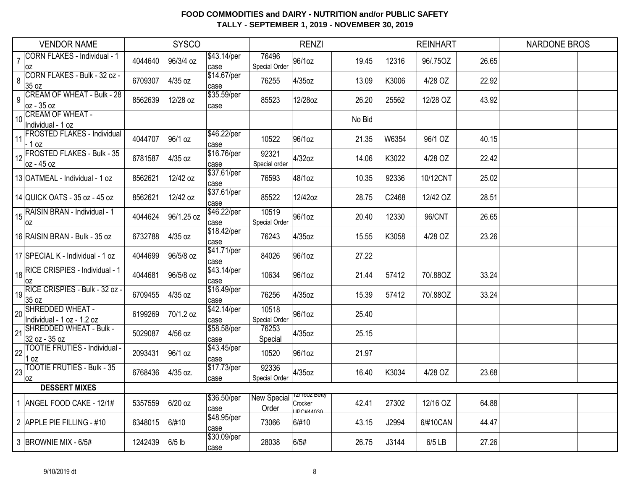| <b>VENDOR NAME</b>                                          |         | <b>SYSCO</b> |                      |                             | <b>RENZI</b>                                   |        |       | <b>REINHART</b> |       | <b>NARDONE BROS</b> |
|-------------------------------------------------------------|---------|--------------|----------------------|-----------------------------|------------------------------------------------|--------|-------|-----------------|-------|---------------------|
| <b>CORN FLAKES - Individual - 1</b><br>$\overline{7}$<br>0Z | 4044640 | 96/3/4 oz    | \$43.14/per<br>case  | 76496<br>Special Order      | 96/1oz                                         | 19.45  | 12316 | 96/.75OZ        | 26.65 |                     |
| CORN FLAKES - Bulk - 32 oz -<br>8<br>35 oz                  | 6709307 | 4/35 oz      | \$14.67/per<br>case  | 76255                       | 4/35oz                                         | 13.09  | K3006 | 4/28 OZ         | 22.92 |                     |
| <b>CREAM OF WHEAT - Bulk - 28</b><br>9<br>oz - 35 oz        | 8562639 | 12/28 oz     | \$35.59/per<br>case  | 85523                       | 12/28oz                                        | 26.20  | 25562 | 12/28 OZ        | 43.92 |                     |
| 10 CREAM OF WHEAT -<br>Individual - 1 oz                    |         |              |                      |                             |                                                | No Bid |       |                 |       |                     |
| <b>FROSTED FLAKES - Individual</b><br>11<br>$-1$ oz         | 4044707 | 96/1 oz      | \$46.22/per<br>case  | 10522                       | 96/1oz                                         | 21.35  | W6354 | 96/1 OZ         | 40.15 |                     |
| 12 FROSTED FLAKES - Bulk - 35<br>oz - 45 oz                 | 6781587 | 4/35 oz      | \$16.76/per<br>case  | 92321<br>Special order      | 4/32oz                                         | 14.06  | K3022 | 4/28 OZ         | 22.42 |                     |
| 13 OATMEAL - Individual - 1 oz                              | 8562621 | 12/42 oz     | \$37.61/per<br>case  | 76593                       | 48/1oz                                         | 10.35  | 92336 | 10/12CNT        | 25.02 |                     |
| 14 QUICK OATS - 35 oz - 45 oz                               | 8562621 | 12/42 oz     | \$37.61/per<br>case  | 85522                       | 12/42oz                                        | 28.75  | C2468 | 12/42 OZ        | 28.51 |                     |
| RAISIN BRAN - Individual - 1<br>0Z                          | 4044624 | 96/1.25 oz   | \$46.22/per<br>case  | 10519<br>Special Order      | 96/1oz                                         | 20.40  | 12330 | 96/CNT          | 26.65 |                     |
| 16 RAISIN BRAN - Bulk - 35 oz                               | 6732788 | 4/35 oz      | \$18.42/per<br>case  | 76243                       | 4/35oz                                         | 15.55  | K3058 | 4/28 OZ         | 23.26 |                     |
| 17 SPECIAL K - Individual - 1 oz                            | 4044699 | 96/5/8 oz    | \$41.71/per<br>case  | 84026                       | 96/1oz                                         | 27.22  |       |                 |       |                     |
| RICE CRISPIES - Individual - 1<br>18<br>0Z                  | 4044681 | 96/5/8 oz    | \$43.14/per<br>case  | 10634                       | 96/1oz                                         | 21.44  | 57412 | 70/.88OZ        | 33.24 |                     |
| RICE CRISPIES - Bulk - 32 oz -<br>19<br>35 oz               | 6709455 | 4/35 oz      | \$16.49/per<br>Icase | 76256                       | 4/35oz                                         | 15.39  | 57412 | 70/.88OZ        | 33.24 |                     |
| SHREDDED WHEAT -<br>20<br>Individual - 1 oz - 1.2 oz        | 6199269 | 70/1.2 oz    | \$42.14/per<br>case  | 10518<br>Special Order      | 96/1oz                                         | 25.40  |       |                 |       |                     |
| <b>SHREDDED WHEAT - Bulk -</b><br>21<br>32 oz - 35 oz       | 5029087 | 4/56 oz      | \$58.58/per<br>case  | 76253<br>Special            | 4/35oz                                         | 25.15  |       |                 |       |                     |
| <b>TOOTIE FRUTIES - Individual -</b><br>22<br>1 oz          | 2093431 | 96/1 oz      | \$43.45/per<br>case  | 10520                       | 96/1oz                                         | 21.97  |       |                 |       |                     |
| <b>TOOTIE FRUTIES - Bulk - 35</b><br>23<br>0Z               | 6768436 | 4/35 oz.     | \$17.73/per<br>case  | 92336<br>Special Order      | 4/35oz                                         | 16.40  | K3034 | 4/28 OZ         | 23.68 |                     |
| <b>DESSERT MIXES</b>                                        |         |              |                      |                             |                                                |        |       |                 |       |                     |
| 1 ANGEL FOOD CAKE - 12/1#                                   | 5357559 | 6/20 oz      | \$36.50/per<br>case  | <b>New Special</b><br>Order | 1 <i>21</i> 1002 Belly<br>Crocker<br>IDC#AA030 | 42.41  | 27302 | 12/16 OZ        | 64.88 |                     |
| 2 APPLE PIE FILLING - #10                                   | 6348015 | 6/#10        | \$48.95/per<br>case  | 73066                       | 6/#10                                          | 43.15  | J2994 | 6/#10CAN        | 44.47 |                     |
| 3 BROWNIE MIX - 6/5#                                        | 1242439 | 6/5 lb       | \$30.09/per<br>case  | 28038                       | 6/5#                                           | 26.75  | J3144 | 6/5 LB          | 27.26 |                     |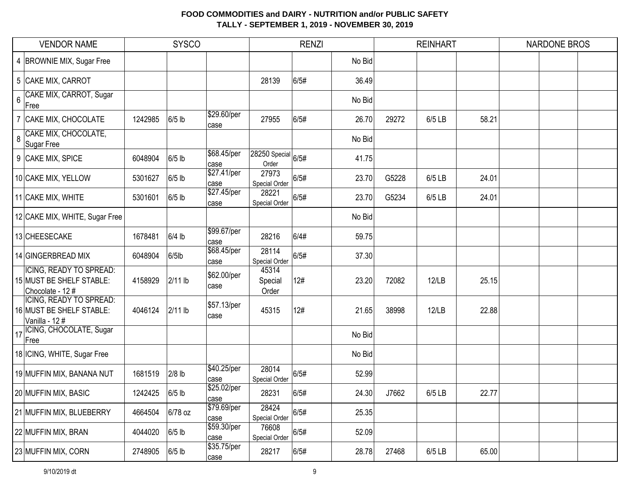|       | <b>VENDOR NAME</b>                                                             |         | <b>SYSCO</b> |                     |                                        | <b>RENZI</b> |        |       | <b>REINHART</b> |       | <b>NARDONE BROS</b> |  |
|-------|--------------------------------------------------------------------------------|---------|--------------|---------------------|----------------------------------------|--------------|--------|-------|-----------------|-------|---------------------|--|
|       | 4 BROWNIE MIX, Sugar Free                                                      |         |              |                     |                                        |              | No Bid |       |                 |       |                     |  |
|       | 5 CAKE MIX, CARROT                                                             |         |              |                     | 28139                                  | 6/5#         | 36.49  |       |                 |       |                     |  |
| $6\,$ | CAKE MIX, CARROT, Sugar<br>Free                                                |         |              |                     |                                        |              | No Bid |       |                 |       |                     |  |
|       | CAKE MIX, CHOCOLATE                                                            | 1242985 | $6/5$ lb     | \$29.60/per<br>case | 27955                                  | 6/5#         | 26.70  | 29272 | 6/5 LB          | 58.21 |                     |  |
| 8     | CAKE MIX, CHOCOLATE,<br>Sugar Free                                             |         |              |                     |                                        |              | No Bid |       |                 |       |                     |  |
|       | 9 CAKE MIX, SPICE                                                              | 6048904 | 6/5 lb       | \$68.45/per<br>case | $ 28250 \text{ Special} 6/5#$<br>Order |              | 41.75  |       |                 |       |                     |  |
|       | 10 CAKE MIX, YELLOW                                                            | 5301627 | $6/5$ lb     | \$27.41/per<br>case | 27973<br>Special Order                 | 6/5#         | 23.70  | G5228 | 6/5 LB          | 24.01 |                     |  |
|       | 11 CAKE MIX, WHITE                                                             | 5301601 | $6/5$ lb     | \$27.45/per<br>case | 28221<br>Special Order                 | 6/5#         | 23.70  | G5234 | 6/5 LB          | 24.01 |                     |  |
|       | 12 CAKE MIX, WHITE, Sugar Free                                                 |         |              |                     |                                        |              | No Bid |       |                 |       |                     |  |
|       | 13 CHEESECAKE                                                                  | 1678481 | $6/4$ lb     | \$99.67/per<br>case | 28216                                  | 6/4#         | 59.75  |       |                 |       |                     |  |
|       | 14 GINGERBREAD MIX                                                             | 6048904 | $6/5$ lb     | \$68.45/per<br>case | 28114<br>Special Order                 | 6/5#         | 37.30  |       |                 |       |                     |  |
|       | <b>ICING, READY TO SPREAD:</b><br>15 MUST BE SHELF STABLE:<br>Chocolate - 12 # | 4158929 | $2/11$ lb    | \$62.00/per<br>case | 45314<br>Special<br>Order              | 12#          | 23.20  | 72082 | 12/LB           | 25.15 |                     |  |
|       | <b>ICING, READY TO SPREAD:</b><br>16 MUST BE SHELF STABLE:<br>Vanilla - 12#    | 4046124 | $2/11$ lb    | \$57.13/per<br>case | 45315                                  | 12#          | 21.65  | 38998 | 12/LB           | 22.88 |                     |  |
| 17    | ICING, CHOCOLATE, Sugar<br>Free                                                |         |              |                     |                                        |              | No Bid |       |                 |       |                     |  |
|       | 18 ICING, WHITE, Sugar Free                                                    |         |              |                     |                                        |              | No Bid |       |                 |       |                     |  |
|       | 19 MUFFIN MIX, BANANA NUT                                                      | 1681519 | $2/8$ lb     | \$40.25/per<br>case | 28014<br>Special Order                 | 6/5#         | 52.99  |       |                 |       |                     |  |
|       | 20 MUFFIN MIX, BASIC                                                           | 1242425 | $6/5$ lb     | \$25.02/per<br>case | 28231                                  | 6/5#         | 24.30  | J7662 | 6/5 LB          | 22.77 |                     |  |
|       | 21 MUFFIN MIX, BLUEBERRY                                                       | 4664504 | 6/78 oz      | \$79.69/per<br>case | 28424<br>Special Order                 | 6/5#         | 25.35  |       |                 |       |                     |  |
|       | 22 MUFFIN MIX, BRAN                                                            | 4044020 | $6/5$ lb     | \$59.30/per<br>case | 76608<br>Special Order                 | 6/5#         | 52.09  |       |                 |       |                     |  |
|       | 23 MUFFIN MIX, CORN                                                            | 2748905 | $6/5$ lb     | \$35.75/per<br>case | 28217                                  | 6/5#         | 28.78  | 27468 | 6/5 LB          | 65.00 |                     |  |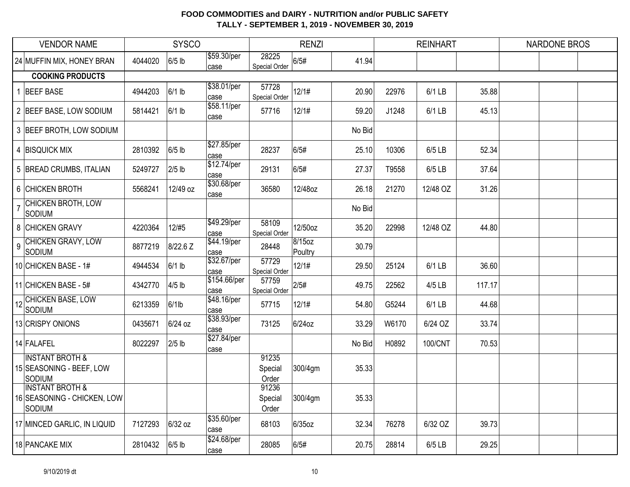|                | <b>VENDOR NAME</b>                                                  |         | <b>SYSCO</b> |                      |                           | <b>RENZI</b>      |        |       | <b>REINHART</b> |        | <b>NARDONE BROS</b> |
|----------------|---------------------------------------------------------------------|---------|--------------|----------------------|---------------------------|-------------------|--------|-------|-----------------|--------|---------------------|
|                | 24 MUFFIN MIX, HONEY BRAN                                           | 4044020 | $6/5$ lb     | \$59.30/per<br>case  | 28225<br>Special Order    | 6/5#              | 41.94  |       |                 |        |                     |
|                | <b>COOKING PRODUCTS</b>                                             |         |              |                      |                           |                   |        |       |                 |        |                     |
|                | <b>BEEF BASE</b>                                                    | 4944203 | $6/1$ lb     | \$38.01/per<br>case  | 57728<br>Special Order    | 12/1#             | 20.90  | 22976 | 6/1 LB          | 35.88  |                     |
|                | 2 BEEF BASE, LOW SODIUM                                             | 5814421 | $6/1$ lb     | \$58.11/per<br>case  | 57716                     | 12/1#             | 59.20  | J1248 | 6/1 LB          | 45.13  |                     |
|                | 3 BEEF BROTH, LOW SODIUM                                            |         |              |                      |                           |                   | No Bid |       |                 |        |                     |
|                | 4 BISQUICK MIX                                                      | 2810392 | $6/5$ lb     | \$27.85/per<br>case  | 28237                     | 6/5#              | 25.10  | 10306 | 6/5 LB          | 52.34  |                     |
|                | 5 BREAD CRUMBS, ITALIAN                                             | 5249727 | $2/5$ lb     | \$12.74/per<br>case  | 29131                     | 6/5#              | 27.37  | T9558 | 6/5 LB          | 37.64  |                     |
|                | 6 CHICKEN BROTH                                                     | 5568241 | 12/49 oz     | \$30.68/per<br>case  | 36580                     | 12/48oz           | 26.18  | 21270 | 12/48 OZ        | 31.26  |                     |
| $\overline{7}$ | <b>CHICKEN BROTH, LOW</b><br>Sodium                                 |         |              |                      |                           |                   | No Bid |       |                 |        |                     |
|                | 8 CHICKEN GRAVY                                                     | 4220364 | 12/#5        | \$49.29/per<br>case  | 58109<br>Special Order    | 12/50oz           | 35.20  | 22998 | 12/48 OZ        | 44.80  |                     |
| $\overline{9}$ | CHICKEN GRAVY, LOW<br>SODIUM                                        | 8877219 | 8/22.6 Z     | \$44.19/per<br>case  | 28448                     | 8/15oz<br>Poultry | 30.79  |       |                 |        |                     |
|                | 10 CHICKEN BASE - 1#                                                | 4944534 | $6/1$ lb     | \$32.67/per<br>case  | 57729<br>Special Order    | 12/1#             | 29.50  | 25124 | 6/1 LB          | 36.60  |                     |
|                | 11 CHICKEN BASE - 5#                                                | 4342770 | $4/5$ lb     | \$154.66/per<br>case | 57759<br>Special Order    | 2/5#              | 49.75  | 22562 | 4/5 LB          | 117.17 |                     |
|                | 12 CHICKEN BASE, LOW<br>SODIUM                                      | 6213359 | $6/1$ lb     | \$48.16/per<br>case  | 57715                     | 12/1#             | 54.80  | G5244 | 6/1 LB          | 44.68  |                     |
|                | 13 CRISPY ONIONS                                                    | 0435671 | 6/24 oz      | \$38.93/per<br>lcase | 73125                     | 6/24oz            | 33.29  | W6170 | 6/24 OZ         | 33.74  |                     |
|                | 14 FALAFEL                                                          | 8022297 | $2/5$ lb     | \$27.84/per<br>case  |                           |                   | No Bid | H0892 | 100/CNT         | 70.53  |                     |
|                | <b>INSTANT BROTH &amp;</b><br>15 SEASONING - BEEF, LOW<br>SODIUM    |         |              |                      | 91235<br>Special<br>Order | 300/4gm           | 35.33  |       |                 |        |                     |
|                | <b>INSTANT BROTH &amp;</b><br>16 SEASONING - CHICKEN, LOW<br>SODIUM |         |              |                      | 91236<br>Special<br>Order | 300/4gm           | 35.33  |       |                 |        |                     |
|                | 17 MINCED GARLIC, IN LIQUID                                         | 7127293 | 6/32 oz      | \$35.60/per<br>case  | 68103                     | 6/35oz            | 32.34  | 76278 | 6/32 OZ         | 39.73  |                     |
|                | 18 PANCAKE MIX                                                      | 2810432 | $6/5$ lb     | \$24.68/per<br>case  | 28085                     | 6/5#              | 20.75  | 28814 | 6/5 LB          | 29.25  |                     |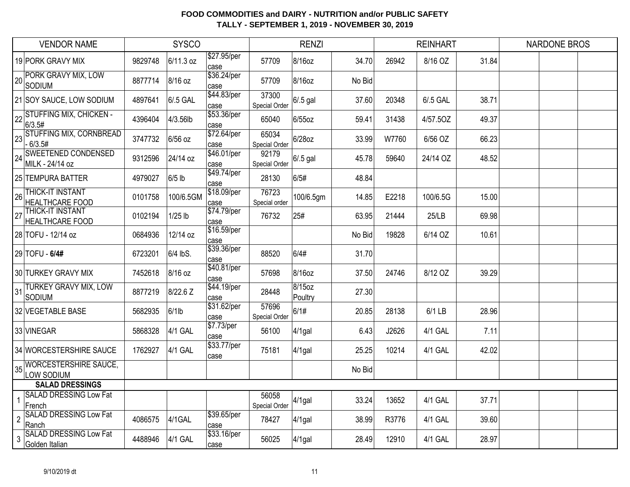|                | <b>VENDOR NAME</b>                                |         | <b>SYSCO</b> |                     |                               | <b>RENZI</b>      |        |       | <b>REINHART</b> |       | <b>NARDONE BROS</b> |  |
|----------------|---------------------------------------------------|---------|--------------|---------------------|-------------------------------|-------------------|--------|-------|-----------------|-------|---------------------|--|
|                | 19 PORK GRAVY MIX                                 | 9829748 | 6/11.3 oz    | \$27.95/per<br>case | 57709                         | 8/16oz            | 34.70  | 26942 | 8/16 OZ         | 31.84 |                     |  |
|                | 20 PORK GRAVY MIX, LOW<br>SODIUM                  | 8877714 | 8/16 oz      | \$36.24/per<br>case | 57709                         | 8/16oz            | No Bid |       |                 |       |                     |  |
|                | 21 SOY SAUCE, LOW SODIUM                          | 4897641 | 6/.5 GAL     | \$44.83/per<br>case | 37300<br><b>Special Order</b> | $6/0.5$ gal       | 37.60  | 20348 | 6/.5 GAL        | 38.71 |                     |  |
|                | 22 STUFFING MIX, CHICKEN -<br>6/3.5#              | 4396404 | 4/3.56lb     | \$53.36/per<br>case | 65040                         | $6/55$ oz         | 59.41  | 31438 | 4/57.50Z        | 49.37 |                     |  |
|                | 23 STUFFING MIX, CORNBREAD<br>$-6/3.5#$           | 3747732 | 6/56 oz      | \$72.64/per<br>case | 65034<br>Special Order        | 6/28oz            | 33.99  | W7760 | 6/56 OZ         | 66.23 |                     |  |
|                | 24 SWEETENED CONDENSED<br>MILK - 24/14 oz         | 9312596 | 24/14 oz     | \$46.01/per<br>case | 92179<br><b>Special Order</b> | $6/0.5$ gal       | 45.78  | 59640 | 24/14 OZ        | 48.52 |                     |  |
|                | 25 TEMPURA BATTER                                 | 4979027 | $6/5$ lb     | \$49.74/per<br>case | 28130                         | 6/5#              | 48.84  |       |                 |       |                     |  |
| 26             | <b>THICK-IT INSTANT</b><br><b>HEALTHCARE FOOD</b> | 0101758 | 100/6.5GM    | \$18.09/per<br>case | 76723<br>Special order        | 100/6.5gm         | 14.85  | E2218 | 100/6.5G        | 15.00 |                     |  |
| 27             | <b>THICK-IT INSTANT</b><br>HEALTHCARE FOOD        | 0102194 | $1/25$ lb    | \$74.79/per<br>case | 76732                         | 25#               | 63.95  | 21444 | 25/LB           | 69.98 |                     |  |
|                | 28 TOFU - 12/14 oz                                | 0684936 | 12/14 oz     | \$16.59/per<br>case |                               |                   | No Bid | 19828 | 6/14 OZ         | 10.61 |                     |  |
|                | 29 TOFU - 6/4#                                    | 6723201 | 6/4 lbS.     | \$39.36/per<br>case | 88520                         | 6/4#              | 31.70  |       |                 |       |                     |  |
|                | 30 TURKEY GRAVY MIX                               | 7452618 | 8/16 oz      | \$40.81/per<br>case | 57698                         | 8/16oz            | 37.50  | 24746 | 8/12 OZ         | 39.29 |                     |  |
| 31             | <b>TURKEY GRAVY MIX, LOW</b><br>SODIUM            | 8877219 | 8/22.6 Z     | \$44.19/per<br>case | 28448                         | 8/15oz<br>Poultry | 27.30  |       |                 |       |                     |  |
|                | 32 VEGETABLE BASE                                 | 5682935 | $6/1$ lb     | \$31.62/per<br>case | 57696<br><b>Special Order</b> | 6/1#              | 20.85  | 28138 | 6/1 LB          | 28.96 |                     |  |
|                | 33 VINEGAR                                        | 5868328 | 4/1 GAL      | \$7.73/per<br>case  | 56100                         | 4/1gal            | 6.43   | J2626 | 4/1 GAL         | 7.11  |                     |  |
|                | 34 WORCESTERSHIRE SAUCE                           | 1762927 | 4/1 GAL      | \$33.77/per<br>case | 75181                         | $4/1$ gal         | 25.25  | 10214 | 4/1 GAL         | 42.02 |                     |  |
| 35             | <b>WORCESTERSHIRE SAUCE,</b><br>LOW SODIUM        |         |              |                     |                               |                   | No Bid |       |                 |       |                     |  |
|                | <b>SALAD DRESSINGS</b>                            |         |              |                     |                               |                   |        |       |                 |       |                     |  |
| $\overline{1}$ | <b>SALAD DRESSING Low Fat</b><br>French           |         |              |                     | 56058<br>Special Order        | $4/1$ gal         | 33.24  | 13652 | 4/1 GAL         | 37.71 |                     |  |
| $\overline{c}$ | <b>SALAD DRESSING Low Fat</b><br>Ranch            | 4086575 | 4/1GAL       | \$39.65/per<br>case | 78427                         | $4/1$ gal         | 38.99  | R3776 | 4/1 GAL         | 39.60 |                     |  |
| 3              | <b>SALAD DRESSING Low Fat</b><br>Golden Italian   | 4488946 | 4/1 GAL      | \$33.16/per<br>case | 56025                         | $4/1$ gal         | 28.49  | 12910 | 4/1 GAL         | 28.97 |                     |  |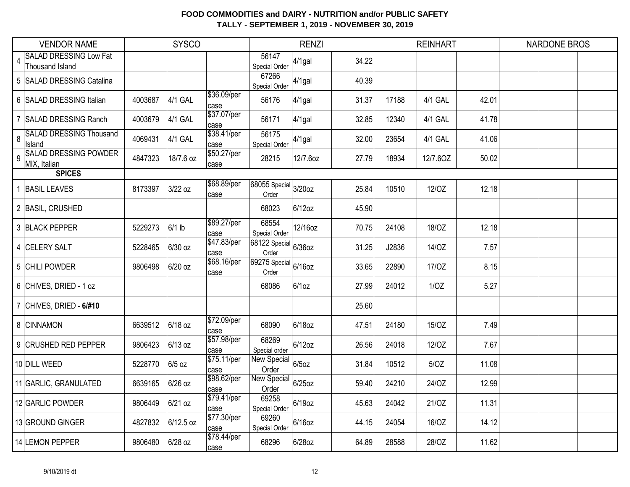|                | <b>VENDOR NAME</b>                               |         | <b>SYSCO</b> |                     |                                                      | <b>RENZI</b> |       |       | <b>REINHART</b> |       | <b>NARDONE BROS</b> |
|----------------|--------------------------------------------------|---------|--------------|---------------------|------------------------------------------------------|--------------|-------|-------|-----------------|-------|---------------------|
| $\overline{4}$ | <b>SALAD DRESSING Low Fat</b><br>Thousand Island |         |              |                     | 56147<br>Special Order                               | $4/1$ gal    | 34.22 |       |                 |       |                     |
|                | 5 SALAD DRESSING Catalina                        |         |              |                     | 67266<br>Special Order                               | $4/1$ gal    | 40.39 |       |                 |       |                     |
| 6              | <b>SALAD DRESSING Italian</b>                    | 4003687 | 4/1 GAL      | \$36.09/per<br>case | 56176                                                | $4/1$ gal    | 31.37 | 17188 | 4/1 GAL         | 42.01 |                     |
| 7              | <b>SALAD DRESSING Ranch</b>                      | 4003679 | 4/1 GAL      | \$37.07/per<br>case | 56171                                                | $4/1$ gal    | 32.85 | 12340 | 4/1 GAL         | 41.78 |                     |
| 8              | <b>SALAD DRESSING Thousand</b><br>Island         | 4069431 | 4/1 GAL      | \$38.41/per<br>case | 56175<br>Special Order                               | $4/1$ gal    | 32.00 | 23654 | 4/1 GAL         | 41.06 |                     |
| $\overline{9}$ | <b>SALAD DRESSING POWDER</b><br>MIX, Italian     | 4847323 | 18/7.6 oz    | \$50.27/per<br>case | 28215                                                | 12/7.6oz     | 27.79 | 18934 | 12/7.60Z        | 50.02 |                     |
|                | <b>SPICES</b>                                    |         |              |                     |                                                      |              |       |       |                 |       |                     |
|                | <b>BASIL LEAVES</b>                              | 8173397 | 3/22 oz      | \$68.89/per<br>case | 68055 Special 3/20oz<br>Order                        |              | 25.84 | 10510 | 12/OZ           | 12.18 |                     |
|                | 2 BASIL, CRUSHED                                 |         |              |                     | 68023                                                | 6/12oz       | 45.90 |       |                 |       |                     |
|                | 3 BLACK PEPPER                                   | 5229273 | $6/1$ lb     | \$89.27/per<br>case | 68554<br>Special Order                               | 12/16oz      | 70.75 | 24108 | 18/OZ           | 12.18 |                     |
|                | 4 CELERY SALT                                    | 5228465 | 6/30 oz      | \$47.83/per<br>case | $\overline{68122 \text{ Special}}$ 6/36oz<br>Order   |              | 31.25 | J2836 | 14/OZ           | 7.57  |                     |
|                | 5 CHILI POWDER                                   | 9806498 | 6/20 oz      | \$68.16/per<br>case | $\overline{ 69275 \text{ Special} }$ 6/16oz<br>Order |              | 33.65 | 22890 | 17/0Z           | 8.15  |                     |
|                | 6 CHIVES, DRIED - 1 oz                           |         |              |                     | 68086                                                | 6/10z        | 27.99 | 24012 | 1/OZ            | 5.27  |                     |
|                | CHIVES, DRIED - 6/#10                            |         |              |                     |                                                      |              | 25.60 |       |                 |       |                     |
|                | 8 CINNAMON                                       | 6639512 | 6/18 oz      | \$72.09/per<br>case | 68090                                                | 6/18oz       | 47.51 | 24180 | 15/OZ           | 7.49  |                     |
|                | 9 CRUSHED RED PEPPER                             | 9806423 | 6/13 oz      | \$57.98/per<br>case | 68269<br>Special order                               | $6/12$ oz    | 26.56 | 24018 | 12/OZ           | 7.67  |                     |
|                | 10 DILL WEED                                     | 5228770 | 6/5 oz       | \$75.11/per<br>case | New Special<br>Order                                 | $6/5$ oz     | 31.84 | 10512 | 5/OZ            | 11.08 |                     |
|                | 11 GARLIC, GRANULATED                            | 6639165 | 6/26 oz      | \$98.62/per<br>case | <b>New Special</b><br>Order                          | 6/25oz       | 59.40 | 24210 | 24/OZ           | 12.99 |                     |
|                | 12 GARLIC POWDER                                 | 9806449 | 6/21 oz      | \$79.41/per<br>case | 69258<br>Special Order                               | 6/19oz       | 45.63 | 24042 | 21/0Z           | 11.31 |                     |
|                | 13 GROUND GINGER                                 | 4827832 | 6/12.5 oz    | \$77.30/per<br>case | 69260<br>Special Order                               | 6/16oz       | 44.15 | 24054 | 16/OZ           | 14.12 |                     |
|                | 14 LEMON PEPPER                                  | 9806480 | 6/28 oz      | \$78.44/per<br>case | 68296                                                | 6/28oz       | 64.89 | 28588 | 28/OZ           | 11.62 |                     |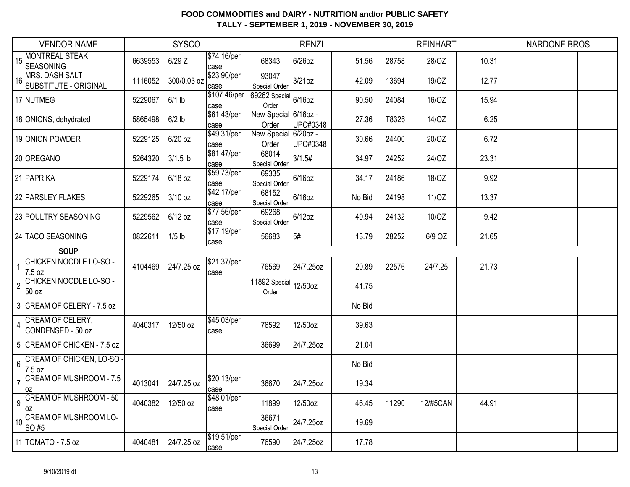|                         | <b>VENDOR NAME</b>                             |         | <b>SYSCO</b> |                     |                                                                                   | <b>RENZI</b> |        |       | <b>REINHART</b> |       | <b>NARDONE BROS</b> |
|-------------------------|------------------------------------------------|---------|--------------|---------------------|-----------------------------------------------------------------------------------|--------------|--------|-------|-----------------|-------|---------------------|
| 15                      | <b>MONTREAL STEAK</b><br><b>SEASONING</b>      | 6639553 | 6/29 Z       | \$74.16/per<br>case | 68343                                                                             | $6/26$ oz    | 51.56  | 28758 | 28/OZ           | 10.31 |                     |
| 16                      | <b>MRS. DASH SALT</b><br>SUBSTITUTE - ORIGINAL | 1116052 | 300/0.03 oz  | \$23.90/per<br>case | 93047<br>Special Order                                                            | $3/21$ oz    | 42.09  | 13694 | 19/0Z           | 12.77 |                     |
|                         | 17 NUTMEG                                      | 5229067 | $6/1$ lb     | case                | $\frac{\text{Case}}{\text{[$107.46/per]} \text{[$9262 Special]}}$ 6/16oz<br>Order |              | 90.50  | 24084 | 16/OZ           | 15.94 |                     |
|                         | 18 ONIONS, dehydrated                          | 5865498 | $6/2$ lb     | \$61.43/per<br>case | New Special 6/16oz -<br>Order                                                     | UPC#0348     | 27.36  | T8326 | 14/OZ           | 6.25  |                     |
|                         | 19 ONION POWDER                                | 5229125 | 6/20 oz      | \$49.31/per<br>case | New Special 6/20oz -<br>Order                                                     | UPC#0348     | 30.66  | 24400 | 20/OZ           | 6.72  |                     |
|                         | 20 OREGANO                                     | 5264320 | 3/1.5 lb     | \$81.47/per<br>case | 68014<br>Special Order                                                            | 3/1.5#       | 34.97  | 24252 | 24/OZ           | 23.31 |                     |
|                         | 21 PAPRIKA                                     | 5229174 | 6/18 oz      | \$59.73/per<br>case | 69335<br>Special Order                                                            | $6/16$ oz    | 34.17  | 24186 | 18/OZ           | 9.92  |                     |
|                         | 22 PARSLEY FLAKES                              | 5229265 | 3/10 oz      | \$42.17/per<br>case | 68152<br>Special Order                                                            | 6/16oz       | No Bid | 24198 | 11/0Z           | 13.37 |                     |
|                         | 23 POULTRY SEASONING                           | 5229562 | $6/12$ oz    | \$77.56/per<br>case | 69268<br>Special Order                                                            | 6/12oz       | 49.94  | 24132 | 10/OZ           | 9.42  |                     |
|                         | 24 TACO SEASONING                              | 0822611 | $1/5$ lb     | \$17.19/per<br>case | 56683                                                                             | 5#           | 13.79  | 28252 | 6/9 OZ          | 21.65 |                     |
|                         | <b>SOUP</b>                                    |         |              |                     |                                                                                   |              |        |       |                 |       |                     |
| $\mathbf{1}$            | <b>CHICKEN NOODLE LO-SO -</b><br>7.5 oz        | 4104469 | 24/7.25 oz   | \$21.37/per<br>case | 76569                                                                             | 24/7.25oz    | 20.89  | 22576 | 24/7.25         | 21.73 |                     |
| $\overline{2}$          | CHICKEN NOODLE LO-SO -<br>50 oz                |         |              |                     | 11892 Special<br>Order                                                            | 12/50oz      | 41.75  |       |                 |       |                     |
|                         | 3 CREAM OF CELERY - 7.5 oz                     |         |              |                     |                                                                                   |              | No Bid |       |                 |       |                     |
| $\overline{\mathbf{r}}$ | <b>CREAM OF CELERY,</b><br>CONDENSED - 50 oz   | 4040317 | 12/50 oz     | \$45.03/per<br>case | 76592                                                                             | 12/50oz      | 39.63  |       |                 |       |                     |
|                         | 5 CREAM OF CHICKEN - 7.5 oz                    |         |              |                     | 36699                                                                             | 24/7.25oz    | 21.04  |       |                 |       |                     |
| 6                       | <b>CREAM OF CHICKEN, LO-SO -</b><br>7.5 oz     |         |              |                     |                                                                                   |              | No Bid |       |                 |       |                     |
| $\overline{7}$          | <b>CREAM OF MUSHROOM - 7.5</b><br>0Z           | 4013041 | 24/7.25 oz   | \$20.13/per<br>case | 36670                                                                             | 24/7.25oz    | 19.34  |       |                 |       |                     |
| 9                       | <b>CREAM OF MUSHROOM - 50</b><br>0Z            | 4040382 | 12/50 oz     | \$48.01/per<br>case | 11899                                                                             | 12/50oz      | 46.45  | 11290 | 12/#5CAN        | 44.91 |                     |
| 10                      | <b>CREAM OF MUSHROOM LO-</b><br>SO#5           |         |              |                     | 36671<br>Special Order                                                            | 24/7.25oz    | 19.69  |       |                 |       |                     |
|                         | 11 TOMATO - 7.5 oz                             | 4040481 | 24/7.25 oz   | \$19.51/per<br>case | 76590                                                                             | 24/7.25oz    | 17.78  |       |                 |       |                     |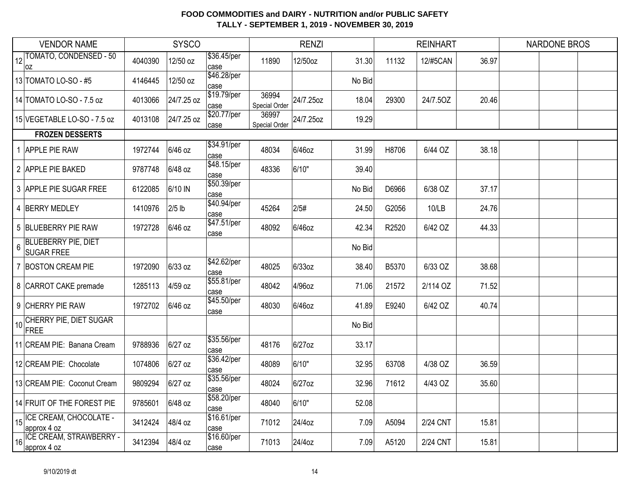|    | <b>VENDOR NAME</b>                              |         | <b>SYSCO</b> |                      |                        | <b>RENZI</b> |        |       | <b>REINHART</b> |       | <b>NARDONE BROS</b> |  |
|----|-------------------------------------------------|---------|--------------|----------------------|------------------------|--------------|--------|-------|-----------------|-------|---------------------|--|
| 12 | TOMATO, CONDENSED - 50<br> OZ                   | 4040390 | 12/50 oz     | \$36.45/per<br>case  | 11890                  | 12/50oz      | 31.30  | 11132 | 12/#5CAN        | 36.97 |                     |  |
|    | 13 TOMATO LO-SO - #5                            | 4146445 | 12/50 oz     | \$46.28/per<br>case  |                        |              | No Bid |       |                 |       |                     |  |
|    | 14 TOMATO LO-SO - 7.5 oz                        | 4013066 | 24/7.25 oz   | \$19.79/per<br>case  | 36994<br>Special Order | 24/7.25oz    | 18.04  | 29300 | 24/7.50Z        | 20.46 |                     |  |
|    | 15 VEGETABLE LO-SO - 7.5 oz                     | 4013108 | 24/7.25 oz   | \$20.77/per<br>case  | 36997<br>Special Order | 24/7.25oz    | 19.29  |       |                 |       |                     |  |
|    | <b>FROZEN DESSERTS</b>                          |         |              |                      |                        |              |        |       |                 |       |                     |  |
|    | 1 APPLE PIE RAW                                 | 1972744 | 6/46 oz      | \$34.91/per<br>case  | 48034                  | 6/46oz       | 31.99  | H8706 | 6/44 OZ         | 38.18 |                     |  |
|    | 2 APPLE PIE BAKED                               | 9787748 | 6/48 oz      | \$48.15/per<br>case  | 48336                  | 6/10"        | 39.40  |       |                 |       |                     |  |
|    | 3 APPLE PIE SUGAR FREE                          | 6122085 | 6/10 IN      | \$50.39/per<br>case  |                        |              | No Bid | D6966 | 6/38 OZ         | 37.17 |                     |  |
| 4  | <b>BERRY MEDLEY</b>                             | 1410976 | $2/5$ lb     | \$40.94/per<br>case  | 45264                  | 2/5#         | 24.50  | G2056 | 10/LB           | 24.76 |                     |  |
|    | 5 BLUEBERRY PIE RAW                             | 1972728 | 6/46 oz      | \$47.51/per<br>case  | 48092                  | 6/46oz       | 42.34  | R2520 | 6/42 OZ         | 44.33 |                     |  |
| 6  | <b>BLUEBERRY PIE, DIET</b><br><b>SUGAR FREE</b> |         |              |                      |                        |              | No Bid |       |                 |       |                     |  |
|    | <b>BOSTON CREAM PIE</b>                         | 1972090 | 6/33 oz      | \$42.62/per<br>lcase | 48025                  | 6/33oz       | 38.40  | B5370 | 6/33 OZ         | 38.68 |                     |  |
|    | 8 CARROT CAKE premade                           | 1285113 | 4/59 oz      | \$55.81/per<br>case  | 48042                  | 4/96oz       | 71.06  | 21572 | 2/114 OZ        | 71.52 |                     |  |
|    | 9 CHERRY PIE RAW                                | 1972702 | 6/46 oz      | \$45.50/per<br>case  | 48030                  | 6/46oz       | 41.89  | E9240 | 6/42 OZ         | 40.74 |                     |  |
| 10 | CHERRY PIE, DIET SUGAR<br>FREE                  |         |              |                      |                        |              | No Bid |       |                 |       |                     |  |
|    | 11 CREAM PIE: Banana Cream                      | 9788936 | 6/27 oz      | \$35.56/per<br>case  | 48176                  | 6/27oz       | 33.17  |       |                 |       |                     |  |
|    | 12 CREAM PIE: Chocolate                         | 1074806 | 6/27 oz      | \$36.42/per<br>case  | 48089                  | 6/10"        | 32.95  | 63708 | 4/38 OZ         | 36.59 |                     |  |
|    | 13 CREAM PIE: Coconut Cream                     | 9809294 | 6/27 oz      | \$35.56/per<br>case  | 48024                  | 6/27oz       | 32.96  | 71612 | 4/43 OZ         | 35.60 |                     |  |
|    | 14 FRUIT OF THE FOREST PIE                      | 9785601 | 6/48 oz      | \$58.20/per<br>case  | 48040                  | 6/10"        | 52.08  |       |                 |       |                     |  |
|    | 15 CE CREAM, CHOCOLATE -<br>approx 4 oz         | 3412424 | 48/4 oz      | \$16.61/per<br>case  | 71012                  | 24/4oz       | 7.09   | A5094 | 2/24 CNT        | 15.81 |                     |  |
| 16 | <b>ICE CREAM, STRAWBERRY -</b><br>approx 4 oz   | 3412394 | 48/4 oz      | \$16.60/per<br>case  | 71013                  | 24/4oz       | 7.09   | A5120 | 2/24 CNT        | 15.81 |                     |  |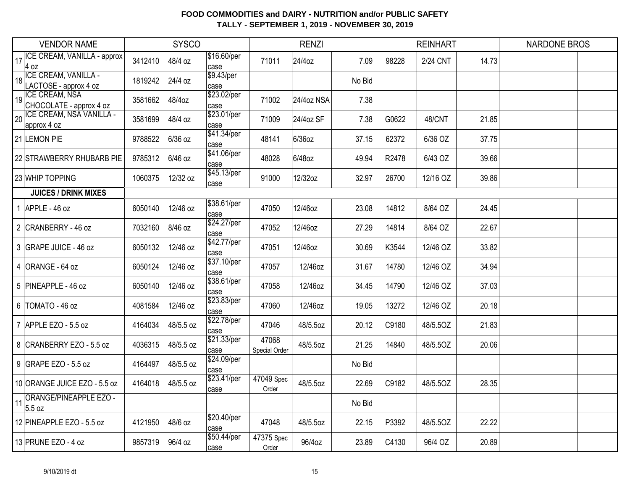|    | <b>VENDOR NAME</b>                               |         | <b>SYSCO</b> |                      |                        | <b>RENZI</b> |        |       | <b>REINHART</b> |       | <b>NARDONE BROS</b> |  |
|----|--------------------------------------------------|---------|--------------|----------------------|------------------------|--------------|--------|-------|-----------------|-------|---------------------|--|
| 17 | ICE CREAM, VANILLA - approx<br>$4$ oz            | 3412410 | 48/4 oz      | \$16.60/per<br>case  | 71011                  | 24/4oz       | 7.09   | 98228 | 2/24 CNT        | 14.73 |                     |  |
| 18 | ICE CREAM, VANILLA -<br>LACTOSE - approx 4 oz    | 1819242 | 24/4 oz      | \$9.43/per<br>case   |                        |              | No Bid |       |                 |       |                     |  |
| 19 | <b>ICE CREAM, NSA</b><br>CHOCOLATE - approx 4 oz | 3581662 | 48/4oz       | \$23.02/per<br>case  | 71002                  | 24/4oz NSA   | 7.38   |       |                 |       |                     |  |
| 20 | ICE CREAM, NSA VANILLA -<br>approx 4 oz          | 3581699 | 48/4 oz      | \$23.01/per<br>case  | 71009                  | 24/4oz SF    | 7.38   | G0622 | 48/CNT          | 21.85 |                     |  |
|    | 21 LEMON PIE                                     | 9788522 | 6/36 oz      | \$41.34/per<br>case  | 48141                  | $6/36$ oz    | 37.15  | 62372 | 6/36 OZ         | 37.75 |                     |  |
|    | 22 STRAWBERRY RHUBARB PIE                        | 9785312 | 6/46 oz      | \$41.06/per<br>case  | 48028                  | 6/48oz       | 49.94  | R2478 | 6/43 OZ         | 39.66 |                     |  |
|    | 23 WHIP TOPPING                                  | 1060375 | 12/32 oz     | \$45.13/per<br>case  | 91000                  | 12/32oz      | 32.97  | 26700 | 12/16 OZ        | 39.86 |                     |  |
|    | <b>JUICES / DRINK MIXES</b>                      |         |              |                      |                        |              |        |       |                 |       |                     |  |
|    | $1$ APPLE - 46 oz                                | 6050140 | 12/46 oz     | \$38.61/per<br>case  | 47050                  | 12/46oz      | 23.08  | 14812 | 8/64 OZ         | 24.45 |                     |  |
|    | 2 CRANBERRY - 46 oz                              | 7032160 | 8/46 oz      | \$24.27/per<br>lcase | 47052                  | 12/46oz      | 27.29  | 14814 | 8/64 OZ         | 22.67 |                     |  |
|    | 3 GRAPE JUICE - 46 oz                            | 6050132 | 12/46 oz     | \$42.77/per<br>case  | 47051                  | 12/46oz      | 30.69  | K3544 | 12/46 OZ        | 33.82 |                     |  |
|    | 4 ORANGE - 64 oz                                 | 6050124 | 12/46 oz     | \$37.10/per<br>case  | 47057                  | 12/46oz      | 31.67  | 14780 | 12/46 OZ        | 34.94 |                     |  |
|    | 5 PINEAPPLE - 46 oz                              | 6050140 | 12/46 oz     | \$38.61/per<br>case  | 47058                  | 12/46oz      | 34.45  | 14790 | 12/46 OZ        | 37.03 |                     |  |
|    | 6   TOMATO - 46 oz                               | 4081584 | 12/46 oz     | \$23.83/per<br>case  | 47060                  | 12/46oz      | 19.05  | 13272 | 12/46 OZ        | 20.18 |                     |  |
|    | 7 APPLE EZO - 5.5 oz                             | 4164034 | 48/5.5 oz    | \$22.78/per<br>lcase | 47046                  | 48/5.5oz     | 20.12  | C9180 | 48/5.5OZ        | 21.83 |                     |  |
|    | 8 CRANBERRY EZO - 5.5 oz                         | 4036315 | 48/5.5 oz    | \$21.33/per<br>case  | 47068<br>Special Order | 48/5.5oz     | 21.25  | 14840 | 48/5.5OZ        | 20.06 |                     |  |
|    | 9 GRAPE EZO - 5.5 oz                             | 4164497 | 48/5.5 oz    | \$24.09/per<br>case  |                        |              | No Bid |       |                 |       |                     |  |
|    | 10 ORANGE JUICE EZO - 5.5 oz                     | 4164018 | 48/5.5 oz    | \$23.41/per<br>case  | 47049 Spec<br>Order    | 48/5.5oz     | 22.69  | C9182 | 48/5.5OZ        | 28.35 |                     |  |
| 11 | <b>ORANGE/PINEAPPLE EZO -</b><br>5.5 oz          |         |              |                      |                        |              | No Bid |       |                 |       |                     |  |
|    | 12 PINEAPPLE EZO - 5.5 oz                        | 4121950 | 48/6 oz      | \$20.40/per<br>case  | 47048                  | 48/5.5oz     | 22.15  | P3392 | 48/5.5OZ        | 22.22 |                     |  |
|    | 13 PRUNE EZO - 4 oz                              | 9857319 | 96/4 oz      | \$50.44/per<br>case  | 47375 Spec<br>Order    | 96/4oz       | 23.89  | C4130 | 96/4 OZ         | 20.89 |                     |  |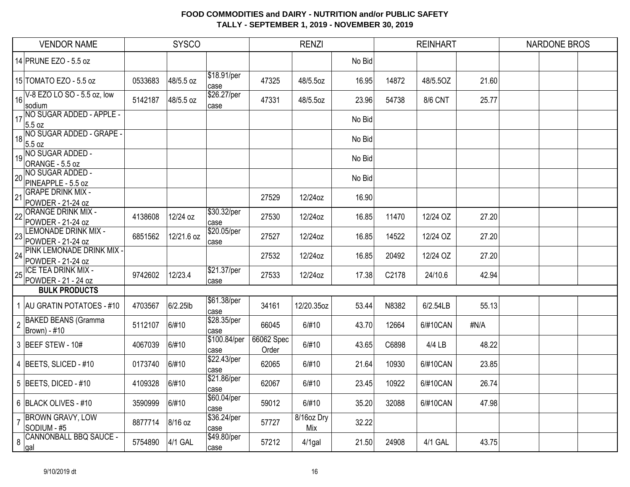|                | <b>VENDOR NAME</b>                                    |         | <b>SYSCO</b> |                      |                     | <b>RENZI</b>      |        |       | <b>REINHART</b> |       | <b>NARDONE BROS</b> |
|----------------|-------------------------------------------------------|---------|--------------|----------------------|---------------------|-------------------|--------|-------|-----------------|-------|---------------------|
|                | 14 PRUNE EZO - 5.5 oz                                 |         |              |                      |                     |                   | No Bid |       |                 |       |                     |
|                | 15 TOMATO EZO - 5.5 oz                                | 0533683 | 48/5.5 oz    | \$18.91/per<br>case  | 47325               | 48/5.5oz          | 16.95  | 14872 | 48/5.5OZ        | 21.60 |                     |
| 16             | V-8 EZO LO SO - 5.5 oz, low<br>sodium                 | 5142187 | 48/5.5 oz    | \$26.27/per<br>case  | 47331               | 48/5.5oz          | 23.96  | 54738 | <b>8/6 CNT</b>  | 25.77 |                     |
| 17             | NO SUGAR ADDED - APPLE -<br>5.5 oz                    |         |              |                      |                     |                   | No Bid |       |                 |       |                     |
|                | 18 NO SUGAR ADDED - GRAPE -<br>5.5 oz                 |         |              |                      |                     |                   | No Bid |       |                 |       |                     |
|                | 19 NO SUGAR ADDED -<br>ORANGE - 5.5 oz                |         |              |                      |                     |                   | No Bid |       |                 |       |                     |
| 20             | NO SUGAR ADDED -<br>PINEAPPLE - 5.5 oz                |         |              |                      |                     |                   | No Bid |       |                 |       |                     |
| 21             | <b>GRAPE DRINK MIX -</b><br>POWDER - 21-24 oz         |         |              |                      | 27529               | 12/24oz           | 16.90  |       |                 |       |                     |
| 22             | <b>ORANGE DRINK MIX -</b><br>POWDER - 21-24 oz        | 4138608 | 12/24 oz     | \$30.32/per<br>case  | 27530               | 12/24oz           | 16.85  | 11470 | 12/24 OZ        | 27.20 |                     |
| 23             | <b>LEMONADE DRINK MIX -</b><br>POWDER - 21-24 oz      | 6851562 | 12/21.6 oz   | \$20.05/per<br>case  | 27527               | 12/24oz           | 16.85  | 14522 | 12/24 OZ        | 27.20 |                     |
| 24             | <b>PINK LEMONADE DRINK MIX -</b><br>POWDER - 21-24 oz |         |              |                      | 27532               | 12/24oz           | 16.85  | 20492 | 12/24 OZ        | 27.20 |                     |
| 25             | <b>ICE TEA DRINK MIX -</b><br>POWDER - 21 - 24 oz     | 9742602 | 12/23.4      | \$21.37/per<br>case  | 27533               | 12/24oz           | 17.38  | C2178 | 24/10.6         | 42.94 |                     |
|                | <b>BULK PRODUCTS</b>                                  |         |              |                      |                     |                   |        |       |                 |       |                     |
|                | 1 AU GRATIN POTATOES - #10                            | 4703567 | 6/2.25lb     | \$61.38/per<br>case  | 34161               | 12/20.35oz        | 53.44  | N8382 | 6/2.54LB        | 55.13 |                     |
| $\overline{2}$ | <b>BAKED BEANS (Gramma</b><br>Brown) - #10            | 5112107 | 6/#10        | \$28.35/per<br>case  | 66045               | 6/#10             | 43.70  | 12664 | 6/#10CAN        | #N/A  |                     |
|                | 3 BEEF STEW - 10#                                     | 4067039 | 6/#10        | \$100.84/per<br>case | 66062 Spec<br>Order | 6/#10             | 43.65  | C6898 | 4/4 LB          | 48.22 |                     |
|                | 4 BEETS, SLICED - #10                                 | 0173740 | 6/#10        | \$22.43/per<br>case  | 62065               | 6/#10             | 21.64  | 10930 | 6/#10CAN        | 23.85 |                     |
|                | 5 BEETS, DICED - #10                                  | 4109328 | 6/#10        | \$21.86/per<br>case  | 62067               | 6/#10             | 23.45  | 10922 | 6/#10CAN        | 26.74 |                     |
|                | 6 BLACK OLIVES - #10                                  | 3590999 | 6/#10        | \$60.04/per<br>case  | 59012               | 6/#10             | 35.20  | 32088 | 6/#10CAN        | 47.98 |                     |
| $\overline{7}$ | <b>BROWN GRAVY, LOW</b><br>SODIUM - #5                | 8877714 | 8/16 oz      | \$36.24/per<br>case  | 57727               | 8/16oz Dry<br>Mix | 32.22  |       |                 |       |                     |
| 8              | <b>CANNONBALL BBQ SAUCE -</b><br>gal                  | 5754890 | 4/1 GAL      | \$49.80/per<br>case  | 57212               | $4/1$ gal         | 21.50  | 24908 | 4/1 GAL         | 43.75 |                     |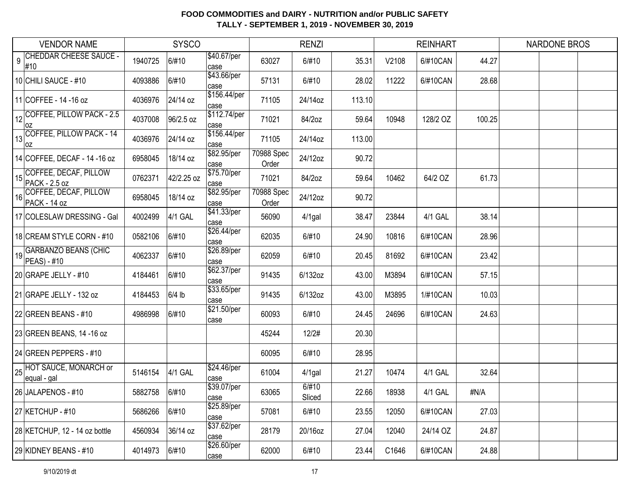| <b>VENDOR NAME</b>                                             |         | <b>SYSCO</b> |                             |                     | <b>RENZI</b>    |        |       | <b>REINHART</b> |        | <b>NARDONE BROS</b> |  |
|----------------------------------------------------------------|---------|--------------|-----------------------------|---------------------|-----------------|--------|-------|-----------------|--------|---------------------|--|
| <b>CHEDDAR CHEESE SAUCE -</b><br>$\overline{9}$<br>#10         | 1940725 | 6/#10        | \$40.67/per<br>case         | 63027               | 6/#10           | 35.31  | V2108 | 6/#10CAN        | 44.27  |                     |  |
| 10 CHILI SAUCE - #10                                           | 4093886 | 6/#10        | \$43.66/per<br>case         | 57131               | 6/#10           | 28.02  | 11222 | 6/#10CAN        | 28.68  |                     |  |
| 11 COFFEE - 14 - 16 oz                                         | 4036976 | 24/14 oz     | \$156.44/per<br>case        | 71105               | 24/14oz         | 113.10 |       |                 |        |                     |  |
| $\left  \frac{1}{12} \right $ COFFEE, PILLOW PACK - 2.5<br> OZ | 4037008 | 96/2.5 oz    | \$112.74/per<br>case        | 71021               | 84/2oz          | 59.64  | 10948 | 128/2 OZ        | 100.25 |                     |  |
| $\frac{1}{13}$ COFFEE, PILLOW PACK - 14<br>loz                 | 4036976 | 24/14 oz     | \$156.44/per<br>case        | 71105               | 24/14oz         | 113.00 |       |                 |        |                     |  |
| 14 COFFEE, DECAF - 14 - 16 oz                                  | 6958045 | 18/14 oz     | \$82.95/per<br>case         | 70988 Spec<br>Order | 24/12oz         | 90.72  |       |                 |        |                     |  |
| COFFEE, DECAF, PILLOW<br>15<br>PACK - 2.5 oz                   | 0762371 | 42/2.25 oz   | \$75.70/per<br>case         | 71021               | 84/2oz          | 59.64  | 10462 | 64/2 OZ         | 61.73  |                     |  |
| COFFEE, DECAF, PILLOW<br>16<br>PACK - 14 oz                    | 6958045 | 18/14 oz     | \$82.95/per<br>case         | 70988 Spec<br>Order | 24/12oz         | 90.72  |       |                 |        |                     |  |
| 17 COLESLAW DRESSING - Gal                                     | 4002499 | 4/1 GAL      | $\sqrt{$41.33}/per$<br>case | 56090               | $4/1$ gal       | 38.47  | 23844 | 4/1 GAL         | 38.14  |                     |  |
| 18 CREAM STYLE CORN - #10                                      | 0582106 | 6/#10        | \$26.44/per<br>case         | 62035               | 6/#10           | 24.90  | 10816 | 6/#10CAN        | 28.96  |                     |  |
| 19 GARBANZO BEANS (CHIC<br>$PEAS - #10$                        | 4062337 | 6/#10        | \$26.89/per<br>case         | 62059               | 6/#10           | 20.45  | 81692 | 6/#10CAN        | 23.42  |                     |  |
| 20 GRAPE JELLY - #10                                           | 4184461 | 6/#10        | \$62.37/per<br>case         | 91435               | 6/132oz         | 43.00  | M3894 | 6/#10CAN        | 57.15  |                     |  |
| 21 GRAPE JELLY - 132 oz                                        | 4184453 | $6/4$ lb     | \$33.65/per<br>case         | 91435               | 6/132oz         | 43.00  | M3895 | 1/#10CAN        | 10.03  |                     |  |
| 22 GREEN BEANS - $#10$                                         | 4986998 | 6/#10        | \$21.50/per<br>case         | 60093               | 6/#10           | 24.45  | 24696 | 6/#10CAN        | 24.63  |                     |  |
| 23 GREEN BEANS, 14 -16 oz                                      |         |              |                             | 45244               | 12/2#           | 20.30  |       |                 |        |                     |  |
| 24 GREEN PEPPERS - #10                                         |         |              |                             | 60095               | 6/#10           | 28.95  |       |                 |        |                     |  |
| 25 HOT SAUCE, MONARCH or<br>equal - gal                        | 5146154 | 4/1 GAL      | \$24.46/per<br>case         | 61004               | $4/1$ gal       | 21.27  | 10474 | 4/1 GAL         | 32.64  |                     |  |
| 26 JALAPENOS - #10                                             | 5882758 | 6/#10        | \$39.07/per<br>case         | 63065               | 6/#10<br>Sliced | 22.66  | 18938 | 4/1 GAL         | #N/A   |                     |  |
| 27 KETCHUP - #10                                               | 5686266 | 6/#10        | \$25.89/per<br>case         | 57081               | 6/#10           | 23.55  | 12050 | 6/#10CAN        | 27.03  |                     |  |
| 28 KETCHUP, 12 - 14 oz bottle                                  | 4560934 | 36/14 oz     | \$37.62/per<br>case         | 28179               | 20/16oz         | 27.04  | 12040 | 24/14 OZ        | 24.87  |                     |  |
| 29 KIDNEY BEANS - #10                                          | 4014973 | 6/#10        | \$26.60/per<br>case         | 62000               | 6/#10           | 23.44  | C1646 | 6/#10CAN        | 24.88  |                     |  |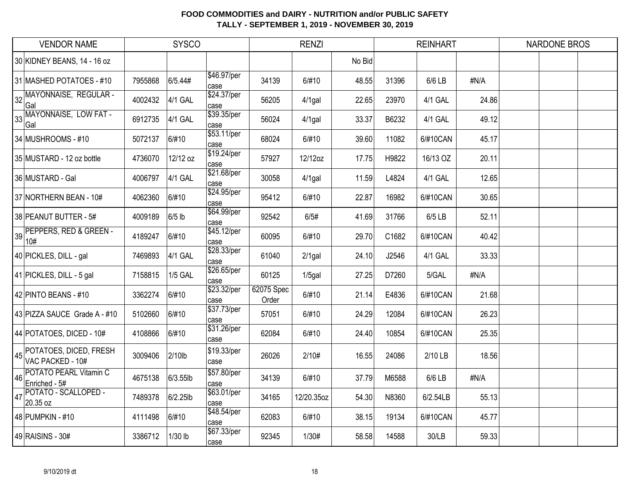|    | <b>VENDOR NAME</b>                         |         | <b>SYSCO</b>   |                     |                     | <b>RENZI</b> |        |       | <b>REINHART</b> |       | <b>NARDONE BROS</b> |  |
|----|--------------------------------------------|---------|----------------|---------------------|---------------------|--------------|--------|-------|-----------------|-------|---------------------|--|
|    | 30 KIDNEY BEANS, 14 - 16 oz                |         |                |                     |                     |              | No Bid |       |                 |       |                     |  |
|    | 31 MASHED POTATOES - #10                   | 7955868 | 6/5.44#        | \$46.97/per<br>case | 34139               | 6/#10        | 48.55  | 31396 | 6/6 LB          | #N/A  |                     |  |
| 32 | MAYONNAISE, REGULAR -<br>Gal               | 4002432 | 4/1 GAL        | \$24.37/per<br>case | 56205               | $4/1$ gal    | 22.65  | 23970 | 4/1 GAL         | 24.86 |                     |  |
| 33 | MAYONNAISE, LOW FAT -<br>Gal               | 6912735 | 4/1 GAL        | \$39.35/per<br>case | 56024               | $4/1$ gal    | 33.37  | B6232 | 4/1 GAL         | 49.12 |                     |  |
|    | 34 MUSHROOMS - #10                         | 5072137 | 6/#10          | \$53.11/per<br>case | 68024               | 6/#10        | 39.60  | 11082 | 6/#10CAN        | 45.17 |                     |  |
|    | 35 MUSTARD - 12 oz bottle                  | 4736070 | 12/12 oz       | \$19.24/per<br>case | 57927               | 12/12oz      | 17.75  | H9822 | 16/13 OZ        | 20.11 |                     |  |
|    | 36 MUSTARD - Gal                           | 4006797 | 4/1 GAL        | \$21.68/per<br>case | 30058               | 4/1gal       | 11.59  | L4824 | 4/1 GAL         | 12.65 |                     |  |
|    | 37 NORTHERN BEAN - 10#                     | 4062360 | 6/#10          | \$24.95/per<br>case | 95412               | 6/#10        | 22.87  | 16982 | 6/#10CAN        | 30.65 |                     |  |
|    | 38 PEANUT BUTTER - 5#                      | 4009189 | $6/5$ lb       | \$64.99/per<br>case | 92542               | 6/5#         | 41.69  | 31766 | 6/5 LB          | 52.11 |                     |  |
|    | 39 PEPPERS, RED & GREEN -<br>10#           | 4189247 | 6/#10          | \$45.12/per<br>case | 60095               | 6/#10        | 29.70  | C1682 | 6/#10CAN        | 40.42 |                     |  |
|    | 40 PICKLES, DILL - gal                     | 7469893 | 4/1 GAL        | \$28.33/per<br>case | 61040               | $2/1$ gal    | 24.10  | J2546 | 4/1 GAL         | 33.33 |                     |  |
|    | 41 PICKLES, DILL - 5 gal                   | 7158815 | <b>1/5 GAL</b> | \$26.65/per<br>case | 60125               | $1/5$ gal    | 27.25  | D7260 | 5/GAL           | #N/A  |                     |  |
|    | 42 PINTO BEANS - #10                       | 3362274 | 6/#10          | \$23.32/per<br>case | 62075 Spec<br>Order | 6/#10        | 21.14  | E4836 | 6/#10CAN        | 21.68 |                     |  |
|    | 43 PIZZA SAUCE Grade A - #10               | 5102660 | 6/#10          | \$37.73/per<br>case | 57051               | 6/#10        | 24.29  | 12084 | 6/#10CAN        | 26.23 |                     |  |
|    | 44 POTATOES, DICED - 10#                   | 4108866 | 6/#10          | \$31.26/per<br>case | 62084               | 6/#10        | 24.40  | 10854 | 6/#10CAN        | 25.35 |                     |  |
| 45 | POTATOES, DICED, FRESH<br>VAC PACKED - 10# | 3009406 | 2/10lb         | \$19.33/per<br>case | 26026               | 2/10#        | 16.55  | 24086 | 2/10 LB         | 18.56 |                     |  |
| 46 | POTATO PEARL Vitamin C<br>Enriched - 5#    | 4675138 | 6/3.55lb       | \$57.80/per<br>case | 34139               | 6/#10        | 37.79  | M6588 | 6/6 LB          | #N/A  |                     |  |
| 47 | POTATO - SCALLOPED -<br>20.35 oz           | 7489378 | 6/2.25lb       | \$63.01/per<br>case | 34165               | 12/20.35oz   | 54.30  | N8360 | 6/2.54LB        | 55.13 |                     |  |
|    | 48 PUMPKIN - #10                           | 4111498 | 6/#10          | \$48.54/per<br>case | 62083               | 6/#10        | 38.15  | 19134 | 6/#10CAN        | 45.77 |                     |  |
|    | 49 RAISINS - 30#                           | 3386712 | 1/30 lb        | \$67.33/per<br>case | 92345               | 1/30#        | 58.58  | 14588 | 30/LB           | 59.33 |                     |  |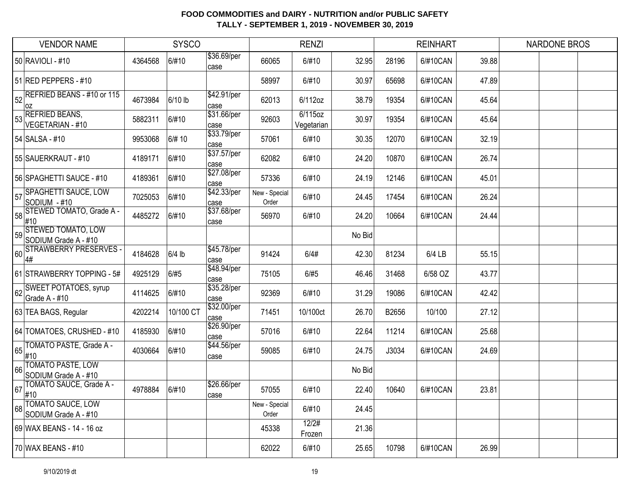|    | <b>VENDOR NAME</b>                                |         | <b>SYSCO</b> |                     |                        | <b>RENZI</b>          |        |       | <b>REINHART</b> |       | <b>NARDONE BROS</b> |
|----|---------------------------------------------------|---------|--------------|---------------------|------------------------|-----------------------|--------|-------|-----------------|-------|---------------------|
|    | 50 RAVIOLI - #10                                  | 4364568 | 6/#10        | \$36.69/per<br>case | 66065                  | 6/#10                 | 32.95  | 28196 | 6/#10CAN        | 39.88 |                     |
|    | 51 RED PEPPERS - #10                              |         |              |                     | 58997                  | 6/#10                 | 30.97  | 65698 | 6/#10CAN        | 47.89 |                     |
| 52 | REFRIED BEANS - #10 or 115<br> OZ                 | 4673984 | 6/10 lb      | \$42.91/per<br>case | 62013                  | 6/112oz               | 38.79  | 19354 | 6/#10CAN        | 45.64 |                     |
| 53 | <b>REFRIED BEANS,</b><br>VEGETARIAN - #10         | 5882311 | 6/#10        | \$31.66/per<br>case | 92603                  | 6/115oz<br>Vegetarian | 30.97  | 19354 | 6/#10CAN        | 45.64 |                     |
|    | 54 SALSA - #10                                    | 9953068 | 6/# 10       | \$33.79/per<br>case | 57061                  | 6/#10                 | 30.35  | 12070 | 6/#10CAN        | 32.19 |                     |
|    | 55 SAUERKRAUT - #10                               | 4189171 | 6/#10        | \$37.57/per<br>case | 62082                  | 6/#10                 | 24.20  | 10870 | 6/#10CAN        | 26.74 |                     |
|    | 56 SPAGHETTI SAUCE - #10                          | 4189361 | 6/#10        | \$27.08/per<br>case | 57336                  | 6/#10                 | 24.19  | 12146 | 6/#10CAN        | 45.01 |                     |
| 57 | <b>SPAGHETTI SAUCE, LOW</b><br>SODIUM - #10       | 7025053 | 6/#10        | \$42.33/per<br>case | New - Special<br>Order | 6/#10                 | 24.45  | 17454 | 6/#10CAN        | 26.24 |                     |
| 58 | STEWED TOMATO, Grade A -<br>#10                   | 4485272 | 6/#10        | \$37.68/per<br>case | 56970                  | 6/#10                 | 24.20  | 10664 | 6/#10CAN        | 24.44 |                     |
| 59 | <b>STEWED TOMATO, LOW</b><br>SODIUM Grade A - #10 |         |              |                     |                        |                       | No Bid |       |                 |       |                     |
| 60 | <b>STRAWBERRY PRESERVES</b><br>4#                 | 4184628 | $6/4$ lb     | \$45.78/per<br>case | 91424                  | 6/4#                  | 42.30  | 81234 | 6/4 LB          | 55.15 |                     |
|    | 61 STRAWBERRY TOPPING - 5#                        | 4925129 | 6/#5         | \$48.94/per<br>case | 75105                  | 6/#5                  | 46.46  | 31468 | 6/58 OZ         | 43.77 |                     |
| 62 | <b>SWEET POTATOES, syrup</b><br>Grade A - #10     | 4114625 | 6/#10        | \$35.28/per<br>case | 92369                  | 6/#10                 | 31.29  | 19086 | 6/#10CAN        | 42.42 |                     |
|    | 63 TEA BAGS, Regular                              | 4202214 | 10/100 CT    | \$32.00/per<br>case | 71451                  | 10/100ct              | 26.70  | B2656 | 10/100          | 27.12 |                     |
|    | 64 TOMATOES, CRUSHED - #10                        | 4185930 | 6/#10        | \$26.90/per<br>case | 57016                  | 6/#10                 | 22.64  | 11214 | 6/#10CAN        | 25.68 |                     |
| 65 | TOMATO PASTE, Grade A -<br>#10                    | 4030664 | 6/#10        | \$44.56/per<br>case | 59085                  | 6/#10                 | 24.75  | J3034 | 6/#10CAN        | 24.69 |                     |
| 66 | <b>TOMATO PASTE, LOW</b><br>SODIUM Grade A - #10  |         |              |                     |                        |                       | No Bid |       |                 |       |                     |
| 67 | TOMATO SAUCE, Grade A -<br>#10                    | 4978884 | 6/#10        | \$26.66/per<br>case | 57055                  | 6/#10                 | 22.40  | 10640 | 6/#10CAN        | 23.81 |                     |
|    | 68 TOMATO SAUCE, LOW<br>SODIUM Grade A - #10      |         |              |                     | New - Special<br>Order | 6/#10                 | 24.45  |       |                 |       |                     |
|    | 69 WAX BEANS - 14 - 16 oz                         |         |              |                     | 45338                  | 12/2#<br>Frozen       | 21.36  |       |                 |       |                     |
|    | 70 WAX BEANS - #10                                |         |              |                     | 62022                  | 6/#10                 | 25.65  | 10798 | 6/#10CAN        | 26.99 |                     |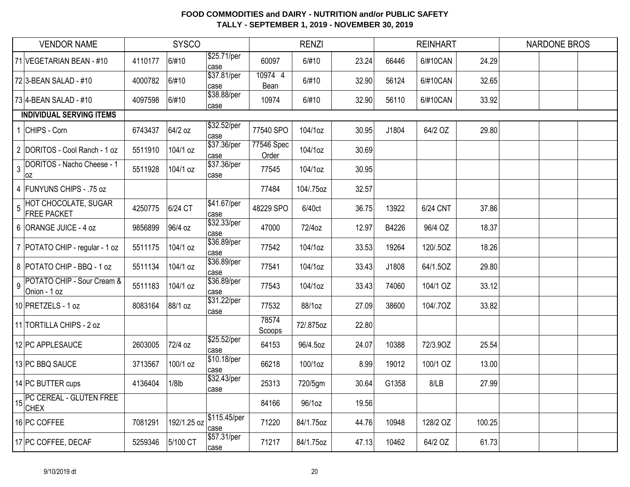|                | <b>VENDOR NAME</b>                                |         | <b>SYSCO</b> |                      |                     | <b>RENZI</b> |       |       | <b>REINHART</b> |        | <b>NARDONE BROS</b> |  |
|----------------|---------------------------------------------------|---------|--------------|----------------------|---------------------|--------------|-------|-------|-----------------|--------|---------------------|--|
|                | 71 VEGETARIAN BEAN - #10                          | 4110177 | 6/#10        | \$25.71/per<br>case  | 60097               | 6/#10        | 23.24 | 66446 | 6/#10CAN        | 24.29  |                     |  |
|                | 72 3-BEAN SALAD - #10                             | 4000782 | 6/#10        | \$37.81/per<br>case  | 10974 4<br>Bean     | 6/#10        | 32.90 | 56124 | 6/#10CAN        | 32.65  |                     |  |
|                | 73 4-BEAN SALAD - #10                             | 4097598 | 6/#10        | \$38.88/per<br>case  | 10974               | 6/#10        | 32.90 | 56110 | 6/#10CAN        | 33.92  |                     |  |
|                | <b>INDIVIDUAL SERVING ITEMS</b>                   |         |              |                      |                     |              |       |       |                 |        |                     |  |
|                | CHIPS - Corn                                      | 6743437 | 64/2 oz      | \$32.52/per<br>case  | 77540 SPO           | 104/1oz      | 30.95 | J1804 | 64/2 OZ         | 29.80  |                     |  |
|                | 2 DORITOS - Cool Ranch - 1 oz                     | 5511910 | 104/1 oz     | \$37.36/per<br>lcase | 77546 Spec<br>Order | 104/1oz      | 30.69 |       |                 |        |                     |  |
| $\mathbf{3}$   | DORITOS - Nacho Cheese - 1<br> oz                 | 5511928 | 104/1 oz     | \$37.36/per<br>case  | 77545               | 104/1oz      | 30.95 |       |                 |        |                     |  |
|                | 4 FUNYUNS CHIPS - .75 oz                          |         |              |                      | 77484               | 104/.75oz    | 32.57 |       |                 |        |                     |  |
| $\overline{5}$ | <b>HOT CHOCOLATE, SUGAR</b><br><b>FREE PACKET</b> | 4250775 | 6/24 CT      | \$41.67/per<br>case  | 48229 SPO           | 6/40ct       | 36.75 | 13922 | 6/24 CNT        | 37.86  |                     |  |
|                | 6 ORANGE JUICE - 4 oz                             | 9856899 | 96/4 oz      | \$32.33/per<br>case  | 47000               | 72/4oz       | 12.97 | B4226 | 96/4 OZ         | 18.37  |                     |  |
|                | 7 POTATO CHIP - regular - 1 oz                    | 5511175 | 104/1 oz     | \$36.89/per<br>case  | 77542               | 104/1oz      | 33.53 | 19264 | 120/.5OZ        | 18.26  |                     |  |
|                | 8 POTATO CHIP - BBQ - 1 oz                        | 5511134 | 104/1 oz     | \$36.89/per<br>case  | 77541               | 104/1oz      | 33.43 | J1808 | 64/1.5OZ        | 29.80  |                     |  |
| $\overline{9}$ | POTATO CHIP - Sour Cream &<br>Onion - 1 oz        | 5511183 | 104/1 oz     | \$36.89/per<br>case  | 77543               | 104/1oz      | 33.43 | 74060 | 104/1 OZ        | 33.12  |                     |  |
|                | 10 PRETZELS - 1 oz                                | 8083164 | 88/1 oz      | \$31.22/per<br>case  | 77532               | 88/1oz       | 27.09 | 38600 | 104/.7OZ        | 33.82  |                     |  |
|                | 11 TORTILLA CHIPS - 2 oz                          |         |              |                      | 78574<br>Scoops     | 72/.875oz    | 22.80 |       |                 |        |                     |  |
|                | 12 PC APPLESAUCE                                  | 2603005 | 72/4 oz      | \$25.52/per<br>case  | 64153               | 96/4.5oz     | 24.07 | 10388 | 72/3.90Z        | 25.54  |                     |  |
|                | 13 PC BBQ SAUCE                                   | 3713567 | 100/1 oz     | \$10.18/per<br>case  | 66218               | 100/1oz      | 8.99  | 19012 | 100/1 OZ        | 13.00  |                     |  |
|                | 14 PC BUTTER cups                                 | 4136404 | $1/8$ lb     | \$32.43/per<br>case  | 25313               | 720/5gm      | 30.64 | G1358 | 8/LB            | 27.99  |                     |  |
|                | The CEREAL - GLUTEN FREE<br><b>CHEX</b>           |         |              |                      | 84166               | 96/1oz       | 19.56 |       |                 |        |                     |  |
|                | 16 PC COFFEE                                      | 7081291 | 192/1.25 oz  | \$115.45/per<br>case | 71220               | 84/1.75oz    | 44.76 | 10948 | 128/2 OZ        | 100.25 |                     |  |
|                | 17 PC COFFEE, DECAF                               | 5259346 | 5/100 CT     | \$57.31/per<br>case  | 71217               | 84/1.75oz    | 47.13 | 10462 | 64/2 OZ         | 61.73  |                     |  |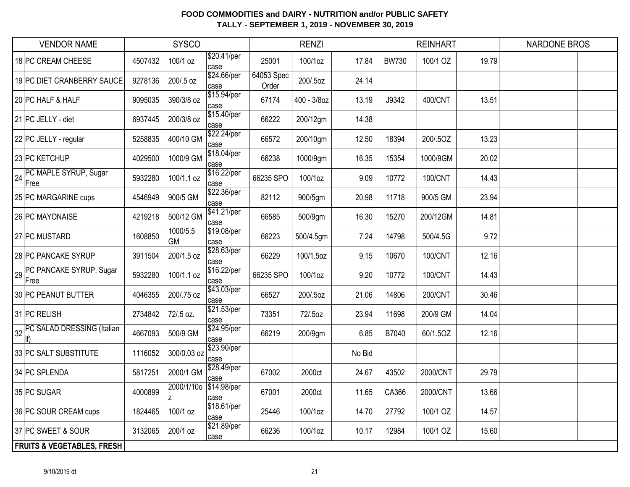| <b>VENDOR NAME</b>                    |         | <b>SYSCO</b>          |                     |                     | <b>RENZI</b> |        |              | <b>REINHART</b> |       | <b>NARDONE BROS</b> |  |
|---------------------------------------|---------|-----------------------|---------------------|---------------------|--------------|--------|--------------|-----------------|-------|---------------------|--|
| 18 PC CREAM CHEESE                    | 4507432 | 100/1 oz              | \$20.41/per<br>case | 25001               | 100/1oz      | 17.84  | <b>BW730</b> | 100/1 OZ        | 19.79 |                     |  |
| 19 PC DIET CRANBERRY SAUCE            | 9278136 | 200/.5 oz             | \$24.66/per<br>case | 64053 Spec<br>Order | 200/.5oz     | 24.14  |              |                 |       |                     |  |
| 20 PC HALF & HALF                     | 9095035 | 390/3/8 oz            | \$15.94/per<br>case | 67174               | 400 - 3/8oz  | 13.19  | J9342        | 400/CNT         | 13.51 |                     |  |
| 21 PC JELLY - diet                    | 6937445 | 200/3/8 oz            | \$15.40/per<br>case | 66222               | 200/12gm     | 14.38  |              |                 |       |                     |  |
| 22 PC JELLY - regular                 | 5258835 | 400/10 GM             | \$22.24/per<br>case | 66572               | 200/10gm     | 12.50  | 18394        | 200/.5OZ        | 13.23 |                     |  |
| 23 PC KETCHUP                         | 4029500 | 1000/9 GM             | \$18.04/per<br>case | 66238               | 1000/9gm     | 16.35  | 15354        | 1000/9GM        | 20.02 |                     |  |
| PC MAPLE SYRUP, Sugar<br>24<br>Free   | 5932280 | 100/1.1 oz            | \$16.22/per<br>case | 66235 SPO           | 100/1oz      | 9.09   | 10772        | 100/CNT         | 14.43 |                     |  |
| 25 PC MARGARINE cups                  | 4546949 | 900/5 GM              | \$22.36/per<br>case | 82112               | 900/5gm      | 20.98  | 11718        | 900/5 GM        | 23.94 |                     |  |
| 26 PC MAYONAISE                       | 4219218 | 500/12 GM             | \$41.21/per<br>case | 66585               | 500/9gm      | 16.30  | 15270        | 200/12GM        | 14.81 |                     |  |
| 27 PC MUSTARD                         | 1608850 | 1000/5.5<br><b>GM</b> | \$19.08/per<br>case | 66223               | 500/4.5gm    | 7.24   | 14798        | 500/4.5G        | 9.72  |                     |  |
| 28 PC PANCAKE SYRUP                   | 3911504 | 200/1.5 oz            | \$28.63/per<br>case | 66229               | 100/1.5oz    | 9.15   | 10670        | 100/CNT         | 12.16 |                     |  |
| 29 PC PANCAKE SYRUP, Sugar<br>Free    | 5932280 | 100/1.1 oz            | \$16.22/per<br>case | 66235 SPO           | 100/1oz      | 9.20   | 10772        | 100/CNT         | 14.43 |                     |  |
| 30 PC PEANUT BUTTER                   | 4046355 | 200/.75 oz            | \$43.03/per<br>case | 66527               | 200/.5oz     | 21.06  | 14806        | 200/CNT         | 30.46 |                     |  |
| 31 PC RELISH                          | 2734842 | 72/.5 oz.             | \$21.53/per<br>case | 73351               | 72/.5oz      | 23.94  | 11698        | 200/9 GM        | 14.04 |                     |  |
| 32 PC SALAD DRESSING (Italian         | 4667093 | 500/9 GM              | \$24.95/per<br>case | 66219               | 200/9gm      | 6.85   | B7040        | 60/1.5OZ        | 12.16 |                     |  |
| 33 PC SALT SUBSTITUTE                 | 1116052 | 300/0.03 oz           | \$23.90/per<br>case |                     |              | No Bid |              |                 |       |                     |  |
| 34 PC SPLENDA                         | 5817251 | 2000/1 GM             | \$28.49/per<br>case | 67002               | 2000ct       | 24.67  | 43502        | 2000/CNT        | 29.79 |                     |  |
| 35 PC SUGAR                           | 4000899 | 2000/1/10o            | \$14.98/per<br>case | 67001               | 2000ct       | 11.65  | CA366        | 2000/CNT        | 13.66 |                     |  |
| 36 PC SOUR CREAM cups                 | 1824465 | 100/1 oz              | \$18.61/per<br>case | 25446               | 100/1oz      | 14.70  | 27792        | 100/1 OZ        | 14.57 |                     |  |
| 37 PC SWEET & SOUR                    | 3132065 | 200/1 oz              | \$21.89/per<br>case | 66236               | 100/1oz      | 10.17  | 12984        | 100/1 OZ        | 15.60 |                     |  |
| <b>FRUITS &amp; VEGETABLES, FRESH</b> |         |                       |                     |                     |              |        |              |                 |       |                     |  |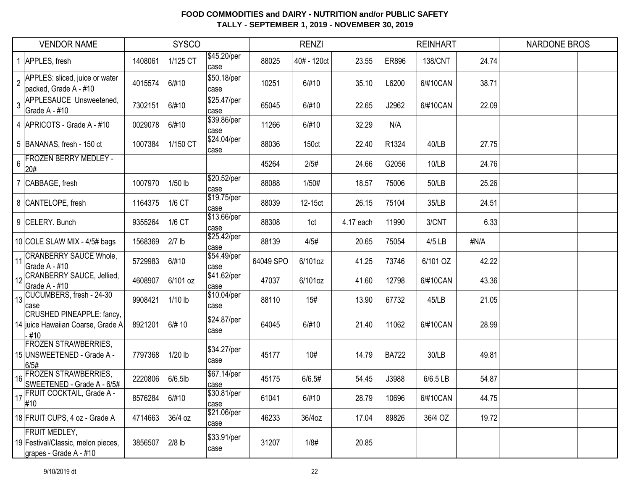|                 | <b>VENDOR NAME</b>                                                                   |         | <b>SYSCO</b> |                     |           | <b>RENZI</b>      |           |              | <b>REINHART</b> |       | <b>NARDONE BROS</b> |
|-----------------|--------------------------------------------------------------------------------------|---------|--------------|---------------------|-----------|-------------------|-----------|--------------|-----------------|-------|---------------------|
|                 | 1 APPLES, fresh                                                                      | 1408061 | 1/125 CT     | \$45.20/per<br>case | 88025     | 40# - 120ct       | 23.55     | ER896        | 138/CNT         | 24.74 |                     |
| $\overline{2}$  | APPLES: sliced, juice or water<br>packed, Grade A - #10                              | 4015574 | 6/#10        | \$50.18/per<br>case | 10251     | 6/#10             | 35.10     | L6200        | 6/#10CAN        | 38.71 |                     |
| 3               | <b>APPLESAUCE Unsweetened,</b><br>Grade A - #10                                      | 7302151 | 6/#10        | \$25.47/per<br>case | 65045     | 6/#10             | 22.65     | J2962        | 6/#10CAN        | 22.09 |                     |
|                 | 4   APRICOTS - Grade A - #10                                                         | 0029078 | 6/#10        | \$39.86/per<br>case | 11266     | 6/#10             | 32.29     | N/A          |                 |       |                     |
|                 | 5 BANANAS, fresh - 150 ct                                                            | 1007384 | 1/150 CT     | \$24.04/per<br>case | 88036     | 150 <sub>ct</sub> | 22.40     | R1324        | 40/LB           | 27.75 |                     |
| 6               | <b>FROZEN BERRY MEDLEY -</b><br>20#                                                  |         |              |                     | 45264     | 2/5#              | 24.66     | G2056        | 10/LB           | 24.76 |                     |
|                 | 7 CABBAGE, fresh                                                                     | 1007970 | $1/50$ lb    | \$20.52/per<br>case | 88088     | 1/50#             | 18.57     | 75006        | 50/LB           | 25.26 |                     |
|                 | 8 CANTELOPE, fresh                                                                   | 1164375 | 1/6 CT       | \$19.75/per<br>case | 88039     | 12-15ct           | 26.15     | 75104        | 35/LB           | 24.51 |                     |
|                 | 9 CELERY. Bunch                                                                      | 9355264 | 1/6 CT       | \$13.66/per<br>case | 88308     | 1ct               | 4.17 each | 11990        | 3/CNT           | 6.33  |                     |
|                 | 10 COLE SLAW MIX - 4/5# bags                                                         | 1568369 | $2/7$ lb     | \$25.42/per<br>case | 88139     | 4/5#              | 20.65     | 75054        | 4/5 LB          | #N/A  |                     |
| 11              | <b>CRANBERRY SAUCE Whole,</b><br>Grade A - #10                                       | 5729983 | 6/#10        | \$54.49/per<br>case | 64049 SPO | 6/101oz           | 41.25     | 73746        | 6/101 OZ        | 42.22 |                     |
| 12 <sup>2</sup> | CRANBERRY SAUCE, Jellied,<br>Grade A - #10                                           | 4608907 | 6/101 oz     | \$41.62/per<br>case | 47037     | 6/101oz           | 41.60     | 12798        | 6/#10CAN        | 43.36 |                     |
|                 | 13 CUCUMBERS, fresh - 24-30<br>case                                                  | 9908421 | 1/10 lb      | \$10.04/per<br>case | 88110     | 15#               | 13.90     | 67732        | 45/LB           | 21.05 |                     |
|                 | <b>CRUSHED PINEAPPLE: fancy,</b><br>14 juice Hawaiian Coarse, Grade A<br>-#10        | 8921201 | 6/#10        | \$24.87/per<br>case | 64045     | 6/#10             | 21.40     | 11062        | 6/#10CAN        | 28.99 |                     |
|                 | <b>FROZEN STRAWBERRIES,</b><br>15 UNSWEETENED - Grade A -<br>6/5#                    | 7797368 | 1/20 lb      | \$34.27/per<br>case | 45177     | 10#               | 14.79     | <b>BA722</b> | 30/LB           | 49.81 |                     |
|                 | <b>I6 FROZEN STRAWBERRIES,</b><br>SWEETENED - Grade A - 6/5#                         | 2220806 | $6/6.5$ lb   | \$67.14/per<br>case | 45175     | 6/6.5#            | 54.45     | J3988        | 6/6.5 LB        | 54.87 |                     |
|                 | 17 FRUIT COCKTAIL, Grade A - 6/5<br>17 #10                                           | 8576284 | 6/#10        | \$30.81/per<br>case | 61041     | 6/#10             | 28.79     | 10696        | 6/#10CAN        | 44.75 |                     |
|                 | 18 FRUIT CUPS, 4 oz - Grade A                                                        | 4714663 | 36/4 oz      | \$21.06/per<br>case | 46233     | 36/4oz            | 17.04     | 89826        | 36/4 OZ         | 19.72 |                     |
|                 | <b>FRUIT MEDLEY,</b><br>19 Festival/Classic, melon pieces,<br>grapes - Grade A - #10 | 3856507 | $2/8$ lb     | \$33.91/per<br>case | 31207     | 1/8#              | 20.85     |              |                 |       |                     |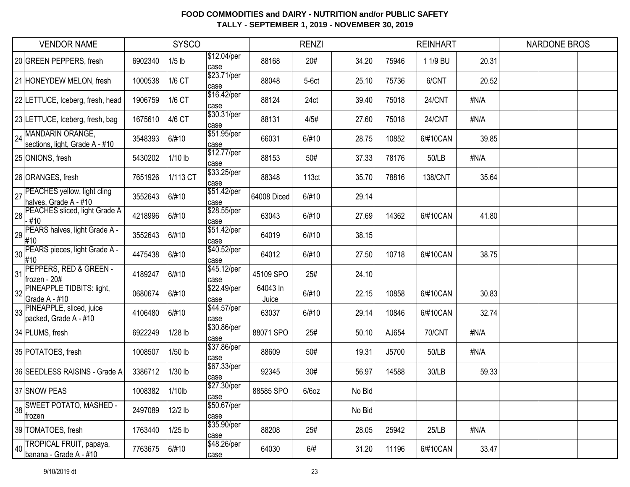| <b>VENDOR NAME</b>                                      |         | <b>SYSCO</b> |                      |                   | <b>RENZI</b> |        |       | <b>REINHART</b> |       | NARDONE BROS |  |
|---------------------------------------------------------|---------|--------------|----------------------|-------------------|--------------|--------|-------|-----------------|-------|--------------|--|
| 20 GREEN PEPPERS, fresh                                 | 6902340 | $1/5$ lb     | \$12.04/per<br>case  | 88168             | 20#          | 34.20  | 75946 | 1 1/9 BU        | 20.31 |              |  |
| 21 HONEYDEW MELON, fresh                                | 1000538 | 1/6 CT       | \$23.71/per<br>case  | 88048             | $5-6ct$      | 25.10  | 75736 | 6/CNT           | 20.52 |              |  |
| 22 LETTUCE, Iceberg, fresh, head                        | 1906759 | 1/6 CT       | \$16.42/per<br>case  | 88124             | 24ct         | 39.40  | 75018 | 24/CNT          | #N/A  |              |  |
| 23 LETTUCE, Iceberg, fresh, bag                         | 1675610 | 4/6 CT       | \$30.31/per<br>lcase | 88131             | 4/5#         | 27.60  | 75018 | 24/CNT          | #N/A  |              |  |
| 24 MANDARIN ORANGE,<br>sections, light, Grade A - #10   | 3548393 | 6/#10        | \$51.95/per<br>case  | 66031             | 6/#10        | 28.75  | 10852 | 6/#10CAN        | 39.85 |              |  |
| 25 ONIONS, fresh                                        | 5430202 | 1/10 lb      | \$12.77/per<br>case  | 88153             | 50#          | 37.33  | 78176 | 50/LB           | #N/A  |              |  |
| 26 ORANGES, fresh                                       | 7651926 | 1/113 CT     | \$33.25/per<br>case  | 88348             | 113ct        | 35.70  | 78816 | 138/CNT         | 35.64 |              |  |
| 27 PEACHES yellow, light cling<br>halves, Grade A - #10 | 3552643 | 6/#10        | \$51.42/per<br>case  | 64008 Diced       | 6/#10        | 29.14  |       |                 |       |              |  |
| 28 PEACHES sliced, light Grade A<br>$-#10$              | 4218996 | 6/#10        | \$28.55/per<br>case  | 63043             | 6/#10        | 27.69  | 14362 | 6/#10CAN        | 41.80 |              |  |
| PEARS halves, light Grade A -<br>#10                    | 3552643 | 6/#10        | \$51.42/per<br>case  | 64019             | 6/#10        | 38.15  |       |                 |       |              |  |
| 30 PEARS pieces, light Grade A -<br>#10                 | 4475438 | 6/#10        | \$40.52/per<br>case  | 64012             | 6/#10        | 27.50  | 10718 | 6/#10CAN        | 38.75 |              |  |
| PEPPERS, RED & GREEN -<br>31<br>frozen - 20#            | 4189247 | 6/#10        | \$45.12/per<br>case  | 45109 SPO         | 25#          | 24.10  |       |                 |       |              |  |
| PINEAPPLE TIDBITS: light,<br>32<br>Grade A - #10        | 0680674 | 6/#10        | \$22.49/per<br>case  | 64043 In<br>Juice | 6/#10        | 22.15  | 10858 | 6/#10CAN        | 30.83 |              |  |
| 33 PINEAPPLE, sliced, juice<br>packed, Grade A - #10    | 4106480 | 6/#10        | \$44.57/per<br>case  | 63037             | 6/#10        | 29.14  | 10846 | 6/#10CAN        | 32.74 |              |  |
| 34 PLUMS, fresh                                         | 6922249 | 1/28 lb      | \$30.86/per<br>case  | 88071 SPO         | 25#          | 50.10  | AJ654 | <b>70/CNT</b>   | #N/A  |              |  |
| 35 POTATOES, fresh                                      | 1008507 | 1/50 lb      | \$37.86/per<br>case  | 88609             | 50#          | 19.31  | J5700 | 50/LB           | #N/A  |              |  |
| 36 SEEDLESS RAISINS - Grade A                           | 3386712 | 1/30 lb      | \$67.33/per<br>case  | 92345             | 30#          | 56.97  | 14588 | 30/LB           | 59.33 |              |  |
| 37 SNOW PEAS                                            | 1008382 | 1/10lb       | \$27.30/per<br>case  | 88585 SPO         | $6/6$ oz     | No Bid |       |                 |       |              |  |
| 38 SWEET POTATO, MASHED -<br>frozen                     | 2497089 | 12/2 lb      | \$50.67/per<br>case  |                   |              | No Bid |       |                 |       |              |  |
| 39 TOMATOES, fresh                                      | 1763440 | $1/25$ lb    | \$35.90/per<br>case  | 88208             | 25#          | 28.05  | 25942 | 25/LB           | #N/A  |              |  |
| 40 TROPICAL FRUIT, papaya,<br>banana - Grade A - #10    | 7763675 | 6/#10        | \$48.26/per<br>case  | 64030             | 6/#          | 31.20  | 11196 | 6/#10CAN        | 33.47 |              |  |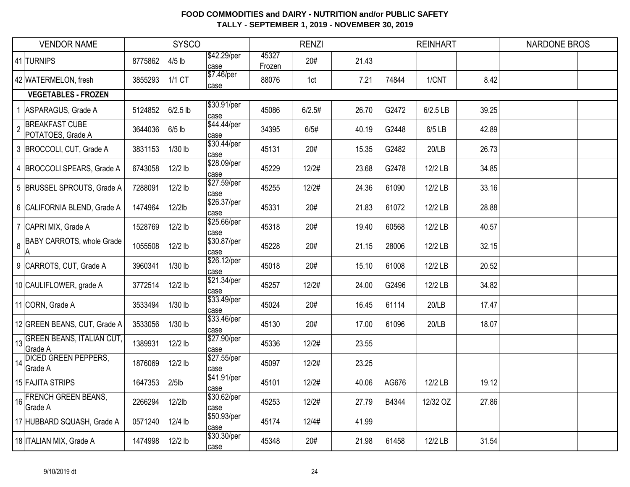| <b>VENDOR NAME</b>                                           |         | <b>SYSCO</b> |                     |                 | <b>RENZI</b> |       |       | <b>REINHART</b> |       | NARDONE BROS |  |
|--------------------------------------------------------------|---------|--------------|---------------------|-----------------|--------------|-------|-------|-----------------|-------|--------------|--|
| 41 TURNIPS                                                   | 8775862 | $4/5$ lb     | \$42.29/per<br>case | 45327<br>Frozen | 20#          | 21.43 |       |                 |       |              |  |
| 42 WATERMELON, fresh                                         | 3855293 | 1/1 CT       | \$7.46/per<br>case  | 88076           | 1ct          | 7.21  | 74844 | 1/CNT           | 8.42  |              |  |
| <b>VEGETABLES - FROZEN</b>                                   |         |              |                     |                 |              |       |       |                 |       |              |  |
| ASPARAGUS, Grade A<br>$\mathbf{1}$                           | 5124852 | $6/2.5$ lb   | \$30.91/per<br>case | 45086           | 6/2.5#       | 26.70 | G2472 | 6/2.5 LB        | 39.25 |              |  |
| <b>BREAKFAST CUBE</b><br>$\overline{2}$<br>POTATOES, Grade A | 3644036 | $6/5$ lb     | \$44.44/per<br>case | 34395           | 6/5#         | 40.19 | G2448 | 6/5 LB          | 42.89 |              |  |
| 3 BROCCOLI, CUT, Grade A                                     | 3831153 | 1/30 lb      | \$30.44/per<br>case | 45131           | 20#          | 15.35 | G2482 | 20/LB           | 26.73 |              |  |
| 4 BROCCOLI SPEARS, Grade A                                   | 6743058 | 12/2 lb      | \$28.09/per<br>case | 45229           | 12/2#        | 23.68 | G2478 | 12/2 LB         | 34.85 |              |  |
| 5 BRUSSEL SPROUTS, Grade A                                   | 7288091 | 12/2 lb      | \$27.59/per<br>case | 45255           | 12/2#        | 24.36 | 61090 | 12/2 LB         | 33.16 |              |  |
| 6 CALIFORNIA BLEND, Grade A                                  | 1474964 | 12/2lb       | \$26.37/per<br>case | 45331           | 20#          | 21.83 | 61072 | 12/2 LB         | 28.88 |              |  |
| 7 CAPRI MIX, Grade A                                         | 1528769 | 12/2 lb      | \$25.66/per<br>case | 45318           | 20#          | 19.40 | 60568 | 12/2 LB         | 40.57 |              |  |
| <b>BABY CARROTS, whole Grade</b><br>8<br> A                  | 1055508 | 12/2 lb      | \$30.87/per<br>case | 45228           | 20#          | 21.15 | 28006 | 12/2 LB         | 32.15 |              |  |
| 9 CARROTS, CUT, Grade A                                      | 3960341 | 1/30 lb      | \$26.12/per<br>case | 45018           | 20#          | 15.10 | 61008 | 12/2 LB         | 20.52 |              |  |
| 10 CAULIFLOWER, grade A                                      | 3772514 | 12/2 lb      | \$21.34/per<br>case | 45257           | 12/2#        | 24.00 | G2496 | 12/2 LB         | 34.82 |              |  |
| 11 CORN, Grade A                                             | 3533494 | 1/30 lb      | \$33.49/per<br>case | 45024           | 20#          | 16.45 | 61114 | 20/LB           | 17.47 |              |  |
| 12 GREEN BEANS, CUT, Grade A                                 | 3533056 | 1/30 lb      | \$33.46/per<br>case | 45130           | 20#          | 17.00 | 61096 | 20/LB           | 18.07 |              |  |
| <b>GREEN BEANS, ITALIAN CUT,</b><br>13<br>Grade A            | 1389931 | 12/2 lb      | \$27.90/per<br>case | 45336           | 12/2#        | 23.55 |       |                 |       |              |  |
| 14 DICED GREEN PEPPERS,<br>Grade A                           | 1876069 | 12/2 lb      | \$27.55/per<br>case | 45097           | 12/2#        | 23.25 |       |                 |       |              |  |
| 15 FAJITA STRIPS                                             | 1647353 | $2/5$ lb     | \$41.91/per<br>case | 45101           | 12/2#        | 40.06 | AG676 | 12/2 LB         | 19.12 |              |  |
| <b>FRENCH GREEN BEANS,</b><br>16<br>Grade A                  | 2266294 | 12/2lb       | \$30.62/per<br>case | 45253           | 12/2#        | 27.79 | B4344 | 12/32 OZ        | 27.86 |              |  |
| 17 HUBBARD SQUASH, Grade A                                   | 0571240 | 12/4 lb      | \$50.93/per<br>case | 45174           | 12/4#        | 41.99 |       |                 |       |              |  |
| 18 ITALIAN MIX, Grade A                                      | 1474998 | 12/2 lb      | \$30.30/per<br>case | 45348           | 20#          | 21.98 | 61458 | 12/2 LB         | 31.54 |              |  |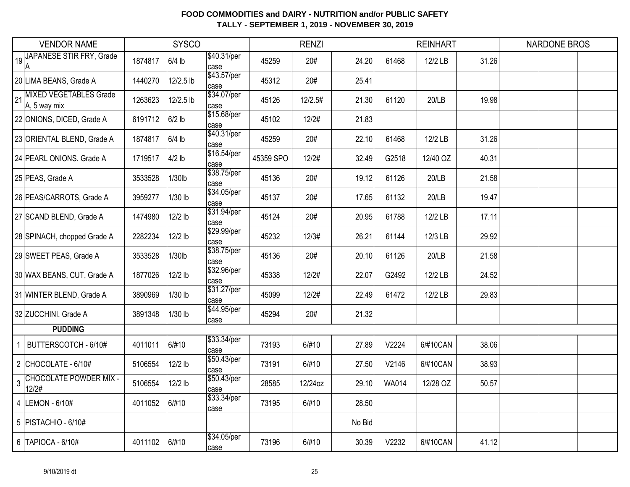| <b>VENDOR NAME</b> |                                                   | <b>SYSCO</b> |           |                      | <b>RENZI</b> |         |        |              | <b>REINHART</b> |       | <b>NARDONE BROS</b> |  |
|--------------------|---------------------------------------------------|--------------|-----------|----------------------|--------------|---------|--------|--------------|-----------------|-------|---------------------|--|
| 19                 | <b>JAPANESE STIR FRY, Grade</b><br>$\overline{A}$ | 1874817      | $6/4$ lb  | \$40.31/per<br>case  | 45259        | 20#     | 24.20  | 61468        | 12/2 LB         | 31.26 |                     |  |
|                    | 20 LIMA BEANS, Grade A                            | 1440270      | 12/2.5 lb | \$43.57/per<br>case  | 45312        | 20#     | 25.41  |              |                 |       |                     |  |
| 21                 | <b>MIXED VEGETABLES Grade</b><br>A, 5 way mix     | 1263623      | 12/2.5 lb | \$34.07/per<br>case  | 45126        | 12/2.5# | 21.30  | 61120        | 20/LB           | 19.98 |                     |  |
|                    | 22 ONIONS, DICED, Grade A                         | 6191712      | $6/2$ lb  | \$15.68/per<br>case  | 45102        | 12/2#   | 21.83  |              |                 |       |                     |  |
|                    | 23 ORIENTAL BLEND, Grade A                        | 1874817      | $6/4$ lb  | \$40.31/per<br>case  | 45259        | 20#     | 22.10  | 61468        | 12/2 LB         | 31.26 |                     |  |
|                    | 24 PEARL ONIONS. Grade A                          | 1719517      | $4/2$ lb  | \$16.54/per<br>case  | 45359 SPO    | 12/2#   | 32.49  | G2518        | 12/40 OZ        | 40.31 |                     |  |
|                    | 25 PEAS, Grade A                                  | 3533528      | 1/30lb    | \$38.75/per<br>case  | 45136        | 20#     | 19.12  | 61126        | 20/LB           | 21.58 |                     |  |
|                    | 26 PEAS/CARROTS, Grade A                          | 3959277      | 1/30 lb   | \$34.05/per<br>case  | 45137        | 20#     | 17.65  | 61132        | 20/LB           | 19.47 |                     |  |
|                    | 27 SCAND BLEND, Grade A                           | 1474980      | 12/2 lb   | \$31.94/per<br>case  | 45124        | 20#     | 20.95  | 61788        | 12/2 LB         | 17.11 |                     |  |
|                    | 28 SPINACH, chopped Grade A                       | 2282234      | 12/2 lb   | \$29.99/per<br>lcase | 45232        | 12/3#   | 26.21  | 61144        | 12/3 LB         | 29.92 |                     |  |
|                    | 29 SWEET PEAS, Grade A                            | 3533528      | 1/30lb    | \$38.75/per<br>case  | 45136        | 20#     | 20.10  | 61126        | 20/LB           | 21.58 |                     |  |
|                    | 30 WAX BEANS, CUT, Grade A                        | 1877026      | 12/2 lb   | \$32.96/per<br>case  | 45338        | 12/2#   | 22.07  | G2492        | 12/2 LB         | 24.52 |                     |  |
|                    | 31 WINTER BLEND, Grade A                          | 3890969      | $1/30$ lb | \$31.27/per<br>case  | 45099        | 12/2#   | 22.49  | 61472        | 12/2 LB         | 29.83 |                     |  |
|                    | 32 ZUCCHINI. Grade A                              | 3891348      | 1/30 lb   | \$44.95/per<br>case  | 45294        | 20#     | 21.32  |              |                 |       |                     |  |
|                    | <b>PUDDING</b>                                    |              |           |                      |              |         |        |              |                 |       |                     |  |
| 1                  | BUTTERSCOTCH - 6/10#                              | 4011011      | 6/#10     | \$33.34/per<br>case  | 73193        | 6/#10   | 27.89  | V2224        | 6/#10CAN        | 38.06 |                     |  |
|                    | 2 CHOCOLATE - $6/10#$                             | 5106554      | 12/2 lb   | \$50.43/per<br>case  | 73191        | 6/#10   | 27.50  | V2146        | 6/#10CAN        | 38.93 |                     |  |
| 3                  | <b>CHOCOLATE POWDER MIX -</b><br>12/2#            | 5106554      | 12/2 lb   | \$50.43/per<br>lcase | 28585        | 12/24oz | 29.10  | <b>WA014</b> | 12/28 OZ        | 50.57 |                     |  |
|                    | 4  LEMON - 6/10#                                  | 4011052      | 6/#10     | \$33.34/per<br>case  | 73195        | 6/#10   | 28.50  |              |                 |       |                     |  |
|                    | 5   PISTACHIO - 6/10#                             |              |           |                      |              |         | No Bid |              |                 |       |                     |  |
|                    | 6   TAPIOCA - 6/10#                               | 4011102      | 6/#10     | \$34.05/per<br>case  | 73196        | 6/#10   | 30.39  | V2232        | 6/#10CAN        | 41.12 |                     |  |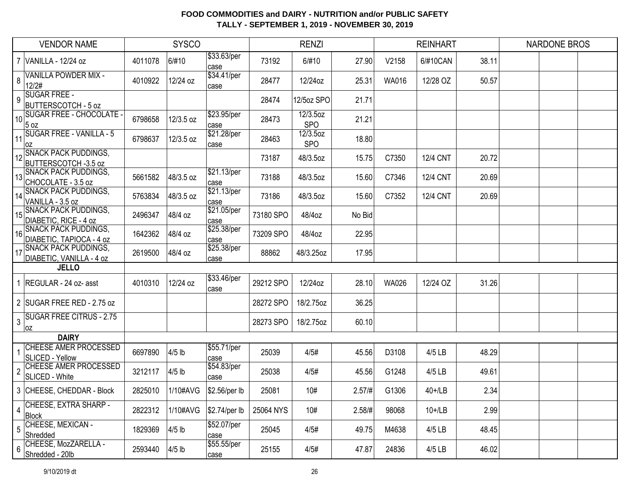|                 | <b>VENDOR NAME</b>                                      | <b>SYSCO</b> |           |                     | <b>RENZI</b> |                        |        |              | <b>REINHART</b> |       | <b>NARDONE BROS</b> |  |
|-----------------|---------------------------------------------------------|--------------|-----------|---------------------|--------------|------------------------|--------|--------------|-----------------|-------|---------------------|--|
|                 | 7 VANILLA - 12/24 oz                                    | 4011078      | 6/#10     | \$33.63/per<br>case | 73192        | 6/#10                  | 27.90  | V2158        | 6/#10CAN        | 38.11 |                     |  |
| 8               | <b>VANILLA POWDER MIX -</b><br>12/2#                    | 4010922      | 12/24 oz  | \$34.41/per<br>case | 28477        | 12/24oz                | 25.31  | <b>WA016</b> | 12/28 OZ        | 50.57 |                     |  |
| 9               | <b>SUGAR FREE -</b><br><b>BUTTERSCOTCH - 5 oz</b>       |              |           |                     | 28474        | 12/5oz SPO             | 21.71  |              |                 |       |                     |  |
| 10 <sup>1</sup> | <b>SUGAR FREE - CHOCOLATE -</b><br>5 oz                 | 6798658      | 12/3.5 oz | \$23.95/per<br>case | 28473        | 12/3.5oz<br><b>SPO</b> | 21.21  |              |                 |       |                     |  |
| 11              | <b>SUGAR FREE - VANILLA - 5</b><br>loz                  | 6798637      | 12/3.5 oz | \$21.28/per<br>case | 28463        | 12/3.5oz<br><b>SPO</b> | 18.80  |              |                 |       |                     |  |
| 12              | <b>SNACK PACK PUDDINGS,</b><br>BUTTERSCOTCH -3.5 oz     |              |           |                     | 73187        | 48/3.5oz               | 15.75  | C7350        | <b>12/4 CNT</b> | 20.72 |                     |  |
|                 | 13 SNACK PACK PUDDINGS,<br>CHOCOLATE - 3.5 oz           | 5661582      | 48/3.5 oz | \$21.13/per<br>case | 73188        | 48/3.5oz               | 15.60  | C7346        | <b>12/4 CNT</b> | 20.69 |                     |  |
| 14              | <b>SNACK PACK PUDDINGS,</b><br>VANILLA - 3.5 oz         | 5763834      | 48/3.5 oz | \$21.13/per<br>case | 73186        | 48/3.5oz               | 15.60  | C7352        | <b>12/4 CNT</b> | 20.69 |                     |  |
| 15              | <b>SNACK PACK PUDDINGS,</b><br>DIABETIC, RICE - 4 oz    | 2496347      | 48/4 oz   | \$21.05/per<br>case | 73180 SPO    | 48/4oz                 | No Bid |              |                 |       |                     |  |
| 16              | <b>SNACK PACK PUDDINGS,</b><br>DIABETIC, TAPIOCA - 4 oz | 1642362      | 48/4 oz   | \$25.38/per<br>case | 73209 SPO    | 48/4oz                 | 22.95  |              |                 |       |                     |  |
| 17              | <b>SNACK PACK PUDDINGS,</b><br>DIABETIC, VANILLA - 4 oz | 2619500      | 48/4 oz   | \$25.38/per<br>case | 88862        | 48/3.25oz              | 17.95  |              |                 |       |                     |  |
|                 | <b>JELLO</b>                                            |              |           |                     |              |                        |        |              |                 |       |                     |  |
|                 | 1 REGULAR - 24 oz- asst                                 | 4010310      | 12/24 oz  | \$33.46/per<br>case | 29212 SPO    | 12/24oz                | 28.10  | <b>WA026</b> | 12/24 OZ        | 31.26 |                     |  |
|                 | 2 SUGAR FREE RED - 2.75 oz                              |              |           |                     | 28272 SPO    | 18/2.75oz              | 36.25  |              |                 |       |                     |  |
| 3               | <b>SUGAR FREE CITRUS - 2.75</b><br>loz                  |              |           |                     | 28273 SPO    | 18/2.75oz              | 60.10  |              |                 |       |                     |  |
|                 | <b>DAIRY</b>                                            |              |           |                     |              |                        |        |              |                 |       |                     |  |
| $\mathbf{1}$    | <b>CHEESE AMER PROCESSED</b><br>SLICED - Yellow         | 6697890      | $4/5$ lb  | \$55.71/per<br>case | 25039        | 4/5#                   | 45.56  | D3108        | 4/5 LB          | 48.29 |                     |  |
| $\overline{2}$  | <b>CHEESE AMER PROCESSED</b><br>SLICED - White          | 3212117      | $4/5$ lb  | \$54.83/per<br>case | 25038        | 4/5#                   | 45.56  | G1248        | 4/5 LB          | 49.61 |                     |  |
|                 | 3 CHEESE, CHEDDAR - Block                               | 2825010      | 1/10#AVG  | $$2.56/per$ lb      | 25081        | 10#                    | 2.57/# | G1306        | $40+1$ LB       | 2.34  |                     |  |
|                 | CHEESE, EXTRA SHARP -<br>Block                          | 2822312      | 1/10#AVG  | $$2.74/per$ lb      | 25064 NYS    | 10#                    | 2.58/# | 98068        | $10+1$ LB       | 2.99  |                     |  |
| 5               | CHEESE, MEXICAN -<br>Shredded                           | 1829369      | $4/5$ lb  | \$52.07/per<br>case | 25045        | 4/5#                   | 49.75  | M4638        | 4/5 LB          | 48.45 |                     |  |
| 6               | CHEESE, MozZARELLA -<br>Shredded - 20lb                 | 2593440      | $4/5$ lb  | \$55.55/per<br>case | 25155        | 4/5#                   | 47.87  | 24836        | 4/5 LB          | 46.02 |                     |  |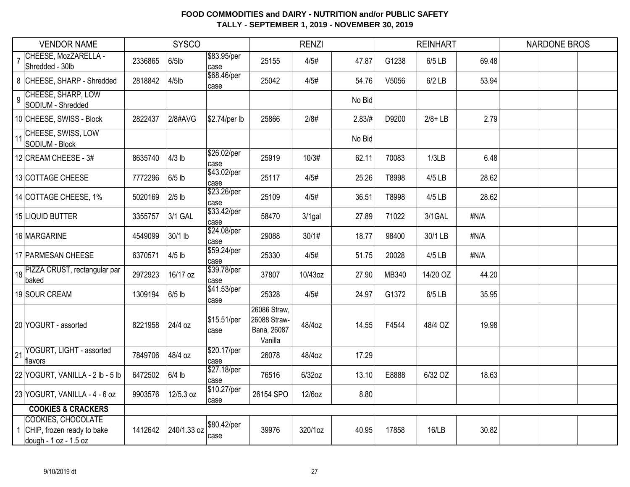| <b>SYSCO</b><br><b>VENDOR NAME</b> |                                                                                  |         |             |                     |                                                        | <b>RENZI</b> |        |       | <b>REINHART</b> |       | <b>NARDONE BROS</b> |  |
|------------------------------------|----------------------------------------------------------------------------------|---------|-------------|---------------------|--------------------------------------------------------|--------------|--------|-------|-----------------|-------|---------------------|--|
|                                    | CHEESE, MozZARELLA -<br>Shredded - 30lb                                          | 2336865 | $6/5$ lb    | \$83.95/per<br>case | 25155                                                  | 4/5#         | 47.87  | G1238 | 6/5 LB          | 69.48 |                     |  |
|                                    | 8 CHEESE, SHARP - Shredded                                                       | 2818842 | $4/5$ lb    | \$68.46/per<br>case | 25042                                                  | 4/5#         | 54.76  | V5056 | $6/2$ LB        | 53.94 |                     |  |
| $\overline{9}$                     | <b>CHEESE, SHARP, LOW</b><br>SODIUM - Shredded                                   |         |             |                     |                                                        |              | No Bid |       |                 |       |                     |  |
|                                    | 10 CHEESE, SWISS - Block                                                         | 2822437 | 2/8#AVG     | \$2.74/per lb       | 25866                                                  | 2/8#         | 2.83/H | D9200 | $2/8 + LB$      | 2.79  |                     |  |
| 11                                 | CHEESE, SWISS, LOW<br>SODIUM - Block                                             |         |             |                     |                                                        |              | No Bid |       |                 |       |                     |  |
|                                    | 12 CREAM CHEESE - 3#                                                             | 8635740 | $4/3$ lb    | \$26.02/per<br>case | 25919                                                  | 10/3#        | 62.11  | 70083 | 1/3LB           | 6.48  |                     |  |
|                                    | 13 COTTAGE CHEESE                                                                | 7772296 | $6/5$ lb    | \$43.02/per<br>case | 25117                                                  | 4/5#         | 25.26  | T8998 | 4/5 LB          | 28.62 |                     |  |
|                                    | 14 COTTAGE CHEESE, 1%                                                            | 5020169 | $2/5$ lb    | \$23.26/per<br>case | 25109                                                  | 4/5#         | 36.51  | T8998 | 4/5 LB          | 28.62 |                     |  |
|                                    | 15 LIQUID BUTTER                                                                 | 3355757 | 3/1 GAL     | \$33.42/per<br>case | 58470                                                  | $3/1$ gal    | 27.89  | 71022 | 3/1GAL          | #N/A  |                     |  |
|                                    | 16 MARGARINE                                                                     | 4549099 | 30/1 lb     | \$24.08/per<br>case | 29088                                                  | 30/1#        | 18.77  | 98400 | 30/1 LB         | #N/A  |                     |  |
|                                    | 17 PARMESAN CHEESE                                                               | 6370571 | $4/5$ lb    | \$59.24/per<br>case | 25330                                                  | 4/5#         | 51.75  | 20028 | 4/5 LB          | #N/A  |                     |  |
|                                    | 18 PIZZA CRUST, rectangular par<br>baked                                         | 2972923 | 16/17 oz    | \$39.78/per<br>case | 37807                                                  | 10/43oz      | 27.90  | MB340 | 14/20 OZ        | 44.20 |                     |  |
|                                    | 19 SOUR CREAM                                                                    | 1309194 | $6/5$ lb    | \$41.53/per<br>case | 25328                                                  | 4/5#         | 24.97  | G1372 | 6/5 LB          | 35.95 |                     |  |
|                                    | 20 YOGURT - assorted                                                             | 8221958 | 24/4 oz     | \$15.51/per<br>case | 26086 Straw,<br>26088 Straw-<br>Bana, 26087<br>Vanilla | 48/4oz       | 14.55  | F4544 | 48/4 OZ         | 19.98 |                     |  |
| 21                                 | YOGURT, LIGHT - assorted<br>flavors                                              | 7849706 | 48/4 oz     | \$20.17/per<br>case | 26078                                                  | 48/4oz       | 17.29  |       |                 |       |                     |  |
|                                    | 22 YOGURT, VANILLA - 2 lb - 5 lb                                                 | 6472502 | $6/4$ lb    | \$27.18/per<br>case | 76516                                                  | $6/32$ oz    | 13.10  | E8888 | 6/32 OZ         | 18.63 |                     |  |
|                                    | 23 YOGURT, VANILLA - 4 - 6 oz                                                    | 9903576 | 12/5.3 oz   | \$10.27/per<br>case | 26154 SPO                                              | 12/6oz       | 8.80   |       |                 |       |                     |  |
|                                    | <b>COOKIES &amp; CRACKERS</b>                                                    |         |             |                     |                                                        |              |        |       |                 |       |                     |  |
|                                    | <b>COOKIES, CHOCOLATE</b><br>CHIP, frozen ready to bake<br>dough - 1 oz - 1.5 oz | 1412642 | 240/1.33 oz | \$80.42/per<br>case | 39976                                                  | 320/1oz      | 40.95  | 17858 | 16/LB           | 30.82 |                     |  |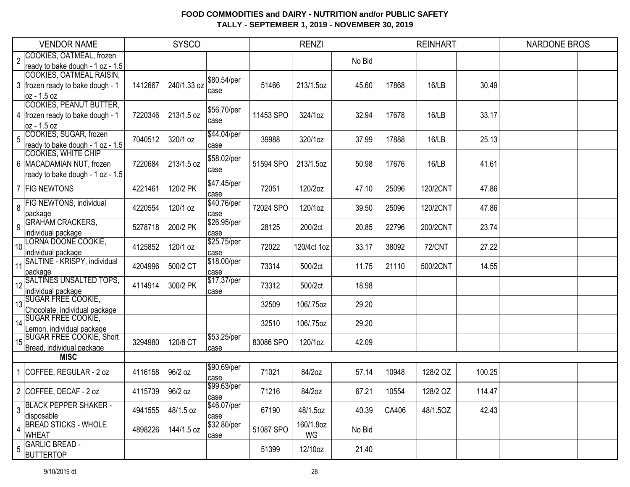|                 | <b>VENDOR NAME</b>                 |         | <b>SYSCO</b> |                     |           | <b>RENZI</b> |        |       | <b>REINHART</b> |        | <b>NARDONE BROS</b> |  |
|-----------------|------------------------------------|---------|--------------|---------------------|-----------|--------------|--------|-------|-----------------|--------|---------------------|--|
| $\overline{2}$  | COOKIES, OATMEAL, frozen           |         |              |                     |           |              | No Bid |       |                 |        |                     |  |
|                 | ready to bake dough - 1 oz - 1.5   |         |              |                     |           |              |        |       |                 |        |                     |  |
|                 | COOKIES, OATMEAL RAISIN,           |         |              | \$80.54/per         |           |              |        |       |                 |        |                     |  |
|                 | 3 frozen ready to bake dough - 1   | 1412667 | 240/1.33 oz  | case                | 51466     | 213/1.5oz    | 45.60  | 17868 | 16/LB           | 30.49  |                     |  |
|                 | oz - 1.5 oz                        |         |              |                     |           |              |        |       |                 |        |                     |  |
|                 | <b>COOKIES, PEANUT BUTTER,</b>     |         |              | \$56.70/per         |           |              |        |       |                 |        |                     |  |
|                 | 4   frozen ready to bake dough - 1 | 7220346 | 213/1.5 oz   | case                | 11453 SPO | 324/1oz      | 32.94  | 17678 | 16/LB           | 33.17  |                     |  |
|                 | oz - 1.5 oz                        |         |              |                     |           |              |        |       |                 |        |                     |  |
| 5               | COOKIES, SUGAR, frozen             | 7040512 | 320/1 oz     | \$44.04/per         | 39988     | 320/1oz      | 37.99  | 17888 | 16/LB           | 25.13  |                     |  |
|                 | ready to bake dough - 1 oz - 1.5   |         |              | case                |           |              |        |       |                 |        |                     |  |
|                 | <b>COOKIES, WHITE CHIP</b>         |         |              | \$58.02/per         |           |              |        |       |                 |        |                     |  |
|                 | 6   MACADAMIAN NUT, frozen         | 7220684 | 213/1.5 oz   | case                | 51594 SPO | 213/1.5oz    | 50.98  | 17676 | 16/LB           | 41.61  |                     |  |
|                 | ready to bake dough - 1 oz - 1.5   |         |              |                     |           |              |        |       |                 |        |                     |  |
|                 | 7 FIG NEWTONS                      | 4221461 | 120/2 PK     | \$47.45/per         | 72051     | 120/2oz      | 47.10  | 25096 | 120/2CNT        | 47.86  |                     |  |
|                 | <b>FIG NEWTONS, individual</b>     |         |              | case<br>\$40.76/per |           |              |        |       |                 |        |                     |  |
| 8               |                                    | 4220554 | 120/1 oz     |                     | 72024 SPO | 120/1oz      | 39.50  | 25096 | 120/2CNT        | 47.86  |                     |  |
|                 | package<br><b>GRAHAM CRACKERS,</b> |         |              | case<br>\$26.95/per |           |              |        |       |                 |        |                     |  |
| 9               | individual package                 | 5278718 | 200/2 PK     | case                | 28125     | 200/2ct      | 20.85  | 22796 | 200/2CNT        | 23.74  |                     |  |
|                 | LORNA DOONE COOKIE,                |         |              | \$25.75/per         |           |              |        |       |                 |        |                     |  |
| 10 <sup>1</sup> | individual package                 | 4125852 | 120/1 oz     | case                | 72022     | 120/4ct 1oz  | 33.17  | 38092 | <b>72/CNT</b>   | 27.22  |                     |  |
|                 | SALTINE - KRISPY, individual       |         |              | \$18.00/per         |           |              |        |       |                 |        |                     |  |
| 11              | package                            | 4204996 | 500/2 CT     | case                | 73314     | 500/2ct      | 11.75  | 21110 | 500/2CNT        | 14.55  |                     |  |
| 12              | <b>SALTINES UNSALTED TOPS,</b>     |         |              | \$17.37/per         |           |              |        |       |                 |        |                     |  |
|                 | individual package                 | 4114914 | 300/2 PK     | case                | 73312     | 500/2ct      | 18.98  |       |                 |        |                     |  |
|                 | 13 SUGAR FREE COOKIE,              |         |              |                     | 32509     | 106/.75oz    | 29.20  |       |                 |        |                     |  |
|                 | Chocolate, individual package      |         |              |                     |           |              |        |       |                 |        |                     |  |
| 14              | <b>SUGAR FREE COOKIE,</b>          |         |              |                     | 32510     | 106/.75oz    | 29.20  |       |                 |        |                     |  |
|                 | Lemon, individual package          |         |              |                     |           |              |        |       |                 |        |                     |  |
|                 | 15 SUGAR FREE COOKIE, Short        | 3294980 | 120/8 CT     | \$53.25/per         | 83086 SPO | 120/1oz      | 42.09  |       |                 |        |                     |  |
|                 | Bread, individual package          |         |              | case                |           |              |        |       |                 |        |                     |  |
|                 | <b>MISC</b>                        |         |              |                     |           |              |        |       |                 |        |                     |  |
|                 | COFFEE, REGULAR - 2 oz             | 4116158 | 96/2 oz      | \$90.69/per         | 71021     | 84/2oz       | 57.14  | 10948 | 128/2 OZ        | 100.25 |                     |  |
|                 |                                    |         |              | case<br>\$99.63/per |           |              |        |       |                 |        |                     |  |
|                 | 2 COFFEE, DECAF - 2 oz             | 4115739 | 96/2 oz      |                     | 71216     | 84/2oz       | 67.21  | 10554 | 128/2 OZ        | 114.47 |                     |  |
|                 | <b>BLACK PEPPER SHAKER -</b>       |         |              | case<br>\$46.07/per |           |              |        |       |                 |        |                     |  |
| 3               | disposable                         | 4941555 | 48/1.5 oz    | case                | 67190     | 48/1.5oz     | 40.39  | CA406 | 48/1.5OZ        | 42.43  |                     |  |
|                 | <b>BREAD STICKS - WHOLE</b>        |         |              | \$32.80/per         |           | 160/1.8oz    |        |       |                 |        |                     |  |
| 4               | <b>WHEAT</b>                       | 4898226 | 144/1.5 oz   | case                | 51087 SPO | WG           | No Bid |       |                 |        |                     |  |
|                 | <b>GARLIC BREAD -</b>              |         |              |                     |           |              |        |       |                 |        |                     |  |
| 5               | <b>BUTTERTOP</b>                   |         |              |                     | 51399     | 12/10oz      | 21.40  |       |                 |        |                     |  |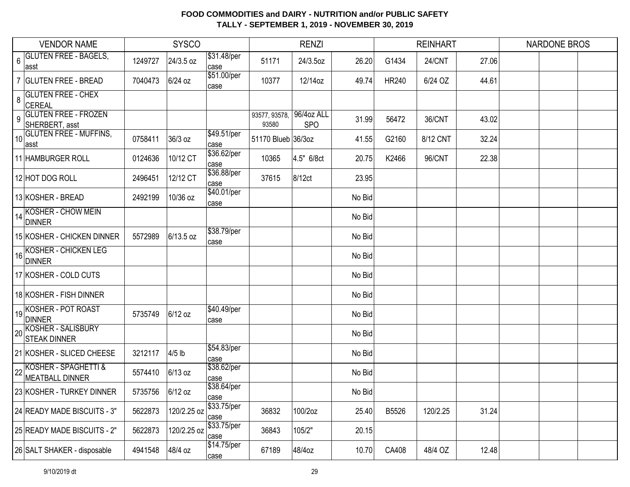|    | <b>SYSCO</b><br><b>VENDOR NAME</b>            |                 |             |                      | <b>RENZI</b>           |                          |        | <b>REINHART</b> |          | <b>NARDONE BROS</b> |  |  |
|----|-----------------------------------------------|-----------------|-------------|----------------------|------------------------|--------------------------|--------|-----------------|----------|---------------------|--|--|
| 6  | <b>GLUTEN FREE - BAGELS,</b><br>∣asst         | 1249727         | 24/3.5 oz   | \$31.48/per<br>case  | 51171                  | 24/3.5oz                 | 26.20  | G1434           | 24/CNT   | 27.06               |  |  |
|    | <b>GLUTEN FREE - BREAD</b>                    | 7040473         | 6/24 oz     | \$51.00/per<br>case  | 10377                  | 12/14oz                  | 49.74  | <b>HR240</b>    | 6/24 OZ  | 44.61               |  |  |
| 8  | <b>GLUTEN FREE - CHEX</b><br>CEREAL           |                 |             |                      |                        |                          |        |                 |          |                     |  |  |
| 9  | <b>GLUTEN FREE - FROZEN</b><br>SHERBERT, asst |                 |             |                      | 93577, 93578,<br>93580 | 96/4oz ALL<br><b>SPO</b> | 31.99  | 56472           | 36/CNT   | 43.02               |  |  |
| 10 | <b>GLUTEN FREE - MUFFINS,</b><br>asst         | 0758411         | 36/3 oz     | \$49.51/per<br>case  | 51170 Blueb 36/3oz     |                          | 41.55  | G2160           | 8/12 CNT | 32.24               |  |  |
|    | 11 HAMBURGER ROLL                             | 0124636         | 10/12 CT    | \$36.62/per<br>case  | 10365                  | 4.5" 6/8ct               | 20.75  | K2466           | 96/CNT   | 22.38               |  |  |
|    | 12 HOT DOG ROLL                               | 2496451         | 12/12 CT    | \$36.88/per<br>case  | 37615                  | 8/12ct                   | 23.95  |                 |          |                     |  |  |
|    | 13 KOSHER - BREAD                             | 2492199         | 10/36 oz    | \$40.01/per<br>case  |                        |                          | No Bid |                 |          |                     |  |  |
|    | $14$ KOSHER - CHOW MEIN<br><b>DINNER</b>      |                 |             |                      |                        |                          | No Bid |                 |          |                     |  |  |
|    | 15 KOSHER - CHICKEN DINNER                    | 5572989         | 6/13.5 oz   | \$38.79/per<br>case  |                        |                          | No Bid |                 |          |                     |  |  |
|    | 16 KOSHER - CHICKEN LEG<br>16 DINNER          |                 |             |                      |                        |                          | No Bid |                 |          |                     |  |  |
|    | 17 KOSHER - COLD CUTS                         |                 |             |                      |                        |                          | No Bid |                 |          |                     |  |  |
|    | 18 KOSHER - FISH DINNER                       |                 |             |                      |                        |                          | No Bid |                 |          |                     |  |  |
|    | 19KOSHER - POT ROAST<br>DINNER                | 5735749         | 6/12 oz     | \$40.49/per<br>case  |                        |                          | No Bid |                 |          |                     |  |  |
|    | 20 KOSHER - SALISBURY<br><b>STEAK DINNER</b>  |                 |             |                      |                        |                          | No Bid |                 |          |                     |  |  |
|    | 21 KOSHER - SLICED CHEESE                     | 3212117         | $4/5$ lb    | \$54.83/per<br>lcase |                        |                          | No Bid |                 |          |                     |  |  |
|    | 22 KOSHER - SPAGHETTI &<br>MEATBALL DINNER    | 5574410         | $6/13$ oz   | \$38.62/per<br>lcase |                        |                          | No Bid |                 |          |                     |  |  |
|    | 23 KOSHER - TURKEY DINNER                     | 5735756 6/12 oz |             | \$38.64/per<br>case  |                        |                          | No Bid |                 |          |                     |  |  |
|    | 24 READY MADE BISCUITS - 3"                   | 5622873         | 120/2.25 oz | \$33.75/per<br>case  | 36832                  | 100/2oz                  | 25.40  | B5526           | 120/2.25 | 31.24               |  |  |
|    | 25 READY MADE BISCUITS - 2"                   | 5622873         | 120/2.25 oz | \$33.75/per<br>case  | 36843                  | 105/2"                   | 20.15  |                 |          |                     |  |  |
|    | 26 SALT SHAKER - disposable                   | 4941548         | 48/4 oz     | \$14.75/per<br>case  | 67189                  | 48/4oz                   | 10.70  | CA408           | 48/4 OZ  | 12.48               |  |  |